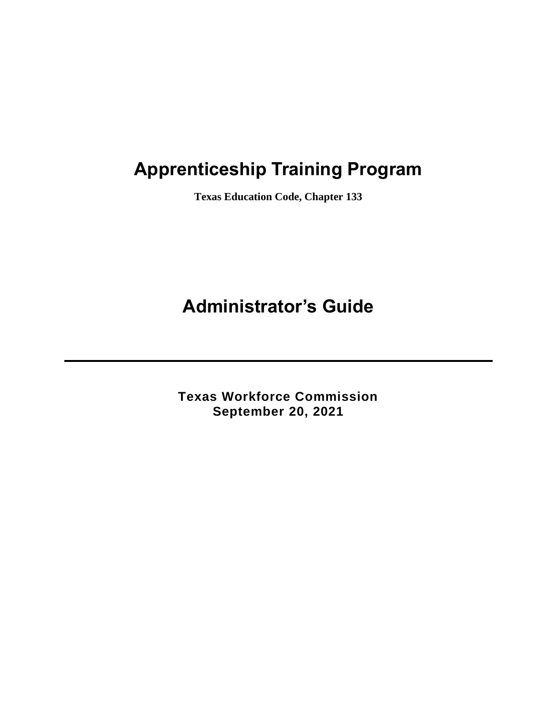# **Apprenticeship Training Program**

**Texas Education Code, Chapter 133**

# **Administrator's Guide**

**Texas Workforce Commission September 20, 2021**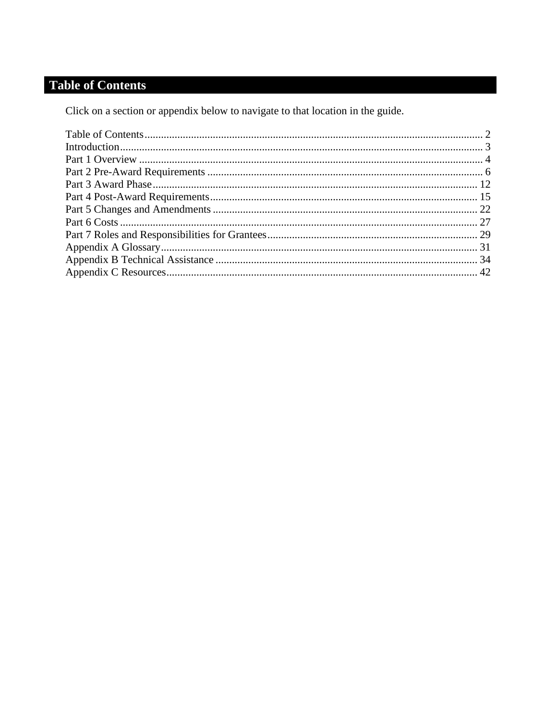## <span id="page-1-0"></span>**Table of Contents**

Click on a section or appendix below to navigate to that location in the guide.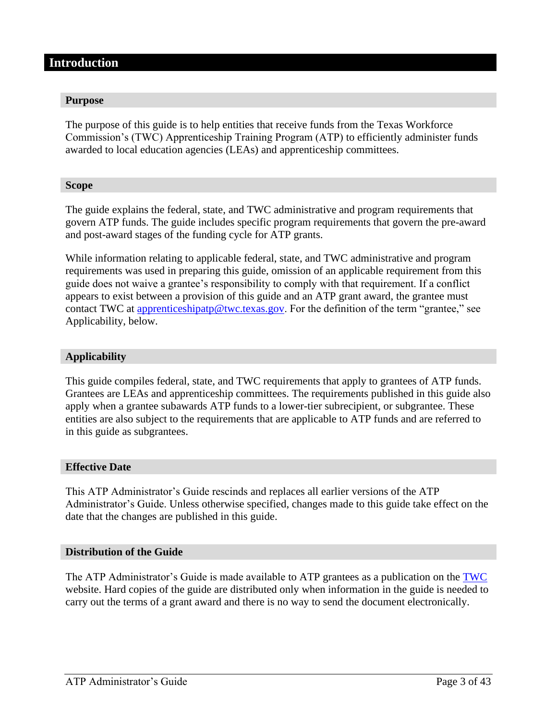#### <span id="page-2-0"></span>**Introduction**

#### **Purpose**

The purpose of this guide is to help entities that receive funds from the Texas Workforce Commission's (TWC) Apprenticeship Training Program (ATP) to efficiently administer funds awarded to local education agencies (LEAs) and apprenticeship committees.

#### **Scope**

The guide explains the federal, state, and TWC administrative and program requirements that govern ATP funds. The guide includes specific program requirements that govern the pre-award and post-award stages of the funding cycle for ATP grants.

While information relating to applicable federal, state, and TWC administrative and program requirements was used in preparing this guide, omission of an applicable requirement from this guide does not waive a grantee's responsibility to comply with that requirement. If a conflict appears to exist between a provision of this guide and an ATP grant award, the grantee must contact TWC at [apprenticeshipatp@twc.texas.g](mailto:apprenticeshipatp@twc.texas.)ov. For the definition of the term "grantee," see Applicability, below.

#### **Applicability**

This guide compiles federal, state, and TWC requirements that apply to grantees of ATP funds. Grantees are LEAs and apprenticeship committees. The requirements published in this guide also apply when a grantee subawards ATP funds to a lower-tier subrecipient, or subgrantee. These entities are also subject to the requirements that are applicable to ATP funds and are referred to in this guide as subgrantees.

#### **Effective Date**

This ATP Administrator's Guide rescinds and replaces all earlier versions of the ATP Administrator's Guide. Unless otherwise specified, changes made to this guide take effect on the date that the changes are published in this guide.

#### **Distribution of the Guide**

The ATP Administrator's Guide is made available to ATP grantees as a publication on the [TWC](http://www.twc.state.tx.us/programs/apprenticeship-program-overview) website. Hard copies of the guide are distributed only when information in the guide is needed to carry out the terms of a grant award and there is no way to send the document electronically.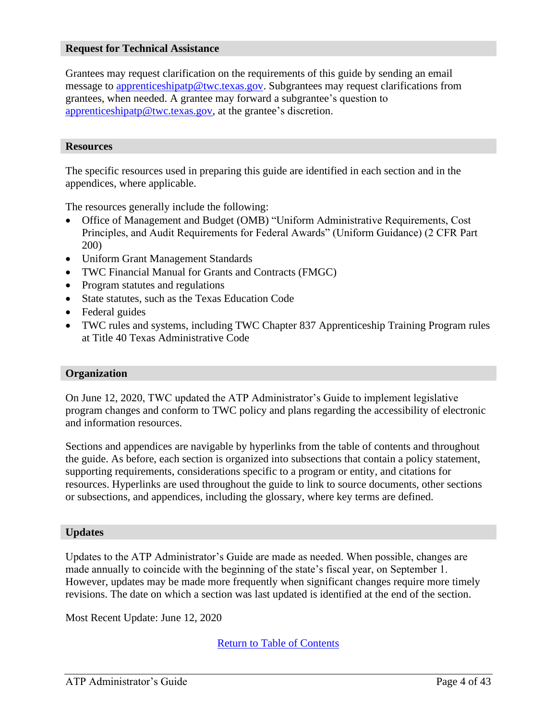#### **Request for Technical Assistance**

Grantees may request clarification on the requirements of this guide by sending an email message to [apprenticeshipatp@twc.texas.gov.](mailto:apprenticeshipatp@twc.texas.gov) Subgrantees may request clarifications from grantees, when needed. A grantee may forward a subgrantee's question to [apprenticeshipatp@twc.texas.gov,](mailto:apprenticeshipatp@twc.texas.gov) at the grantee's discretion.

#### **Resources**

The specific resources used in preparing this guide are identified in each section and in the appendices, where applicable.

The resources generally include the following:

- Office of Management and Budget (OMB) "Uniform Administrative Requirements, Cost Principles, and Audit Requirements for Federal Awards" (Uniform Guidance) (2 CFR Part 200)
- Uniform Grant Management Standards
- TWC Financial Manual for Grants and Contracts (FMGC)
- Program statutes and regulations
- State statutes, such as the Texas Education Code
- Federal guides
- TWC rules and systems, including TWC Chapter 837 Apprenticeship Training Program rules at Title 40 Texas Administrative Code

#### **Organization**

On June 12, 2020, TWC updated the ATP Administrator's Guide to implement legislative program changes and conform to TWC policy and plans regarding the accessibility of electronic and information resources.

Sections and appendices are navigable by hyperlinks from the table of contents and throughout the guide. As before, each section is organized into subsections that contain a policy statement, supporting requirements, considerations specific to a program or entity, and citations for resources. Hyperlinks are used throughout the guide to link to source documents, other sections or subsections, and appendices, including the glossary, where key terms are defined.

#### **Updates**

Updates to the ATP Administrator's Guide are made as needed. When possible, changes are made annually to coincide with the beginning of the state's fiscal year, on September 1. However, updates may be made more frequently when significant changes require more timely revisions. The date on which a section was last updated is identified at the end of the section.

<span id="page-3-0"></span>Most Recent Update: June 12, 2020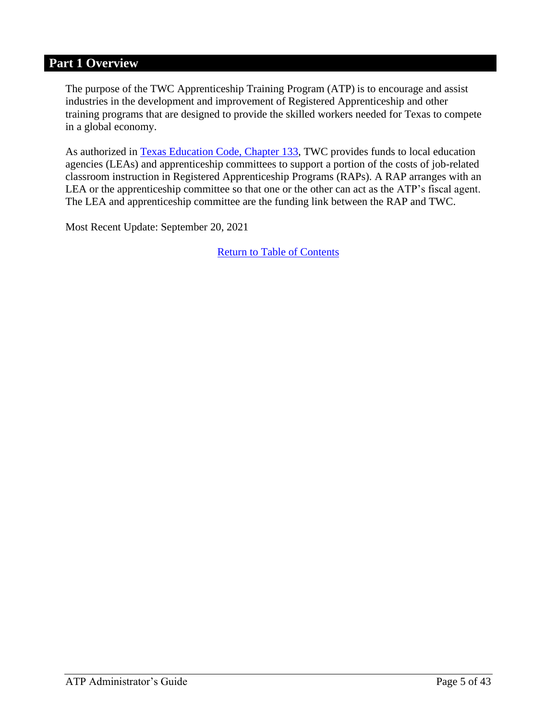## **Part 1 Overview**

The purpose of the TWC Apprenticeship Training Program (ATP) is to encourage and assist industries in the development and improvement of Registered Apprenticeship and other training programs that are designed to provide the skilled workers needed for Texas to compete in a global economy.

As authorized in [Texas Education Code, Chapter 133,](http://www.statutes.legis.state.tx.us/Docs/ED/htm/ED.133.htm) TWC provides funds to local education agencies (LEAs) and apprenticeship committees to support a portion of the costs of job-related classroom instruction in Registered Apprenticeship Programs (RAPs). A RAP arranges with an LEA or the apprenticeship committee so that one or the other can act as the ATP's fiscal agent. The LEA and apprenticeship committee are the funding link between the RAP and TWC.

Most Recent Update: September 20, 2021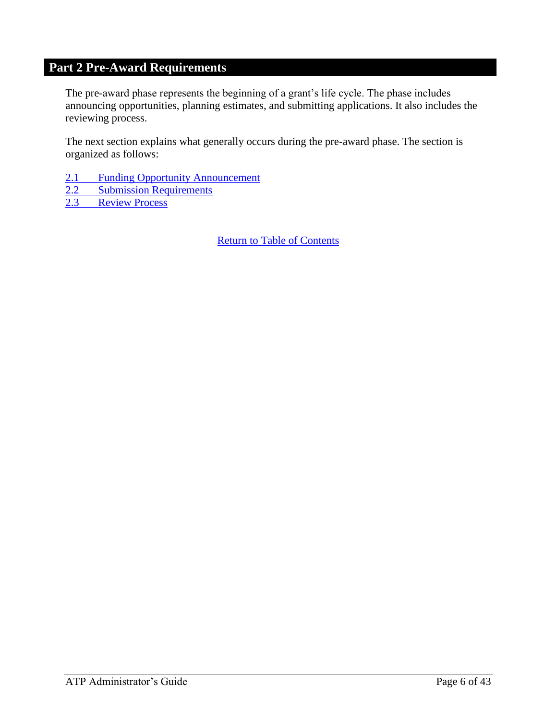## <span id="page-5-0"></span>**Part 2 Pre-Award Requirements**

<span id="page-5-1"></span>The pre-award phase represents the beginning of a grant's life cycle. The phase includes announcing opportunities, planning estimates, and submitting applications. It also includes the reviewing process.

The next section explains what generally occurs during the pre-award phase. The section is organized as follows:

- 2.1 [Funding Opportunity Announcement](#page-6-0)
- 2.2 [Submission Requirements](#page-7-0)<br>2.3 Review Process

[Review Process](#page-10-0)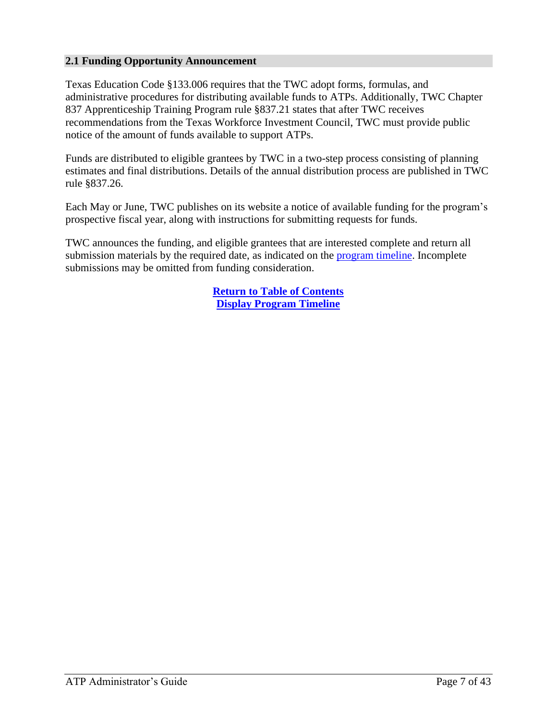#### <span id="page-6-0"></span>**2.1 Funding Opportunity Announcement**

Texas Education Code §133.006 requires that the TWC adopt forms, formulas, and administrative procedures for distributing available funds to ATPs. Additionally, TWC Chapter 837 Apprenticeship Training Program rule §837.21 states that after TWC receives recommendations from the Texas Workforce Investment Council, TWC must provide public notice of the amount of funds available to support ATPs.

Funds are distributed to eligible grantees by TWC in a two-step process consisting of planning estimates and final distributions. Details of the annual distribution process are published in TWC rule §837.26.

Each May or June, TWC publishes on its website a notice of available funding for the program's prospective fiscal year, along with instructions for submitting requests for funds.

TWC announces the funding, and eligible grantees that are interested complete and return all submission materials by the required date, as indicated on the [program timeline.](https://twc.texas.gov/files/twc/fy22-apprenticeship-program-timeline-final-twc.pdf) Incomplete submissions may be omitted from funding consideration.

> **[Return to Table of Contents](#page-1-0) Display [Program Timeline](https://twc.texas.gov/files/twc/fy22-apprenticeship-program-timeline-final-twc.pdf)**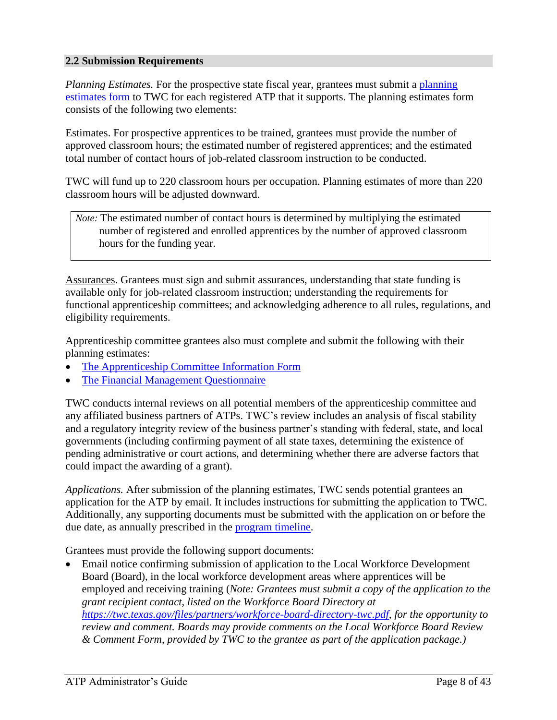#### <span id="page-7-0"></span>**2.2 Submission Requirements**

*Planning Estimates.* For the prospective state fiscal year, grantees must submit a planning [estimates form](https://twc.texas.gov/files/twc/fy22-apprenticeship-planning-estimates-form-final-twc.xlsx) to TWC for each registered ATP that it supports. The planning estimates form consists of the following two elements:

Estimates. For prospective apprentices to be trained, grantees must provide the number of approved classroom hours; the estimated number of registered apprentices; and the estimated total number of contact hours of job-related classroom instruction to be conducted.

TWC will fund up to 220 classroom hours per occupation. Planning estimates of more than 220 classroom hours will be adjusted downward.

*Note:* The estimated number of contact hours is determined by multiplying the estimated number of registered and enrolled apprentices by the number of approved classroom hours for the funding year.

Assurances. Grantees must sign and submit assurances, understanding that state funding is available only for job-related classroom instruction; understanding the requirements for functional apprenticeship committees; and acknowledging adherence to all rules, regulations, and eligibility requirements.

Apprenticeship committee grantees also must complete and submit the following with their planning estimates:

- [The Apprenticeship Committee Information Form](http://www.twc.state.tx.us/files/agency/apprenticeship-committee-information-form-twc.docx)
- [The Financial Management Questionnaire](http://www.twc.state.tx.us/files/agency/apprenticeship-committee-financial-management-questionnaire-twc.docx)

TWC conducts internal reviews on all potential members of the apprenticeship committee and any affiliated business partners of ATPs. TWC's review includes an analysis of fiscal stability and a regulatory integrity review of the business partner's standing with federal, state, and local governments (including confirming payment of all state taxes, determining the existence of pending administrative or court actions, and determining whether there are adverse factors that could impact the awarding of a grant).

*Applications.* After submission of the planning estimates, TWC sends potential grantees an application for the ATP by email. It includes instructions for submitting the application to TWC. Additionally, any supporting documents must be submitted with the application on or before the due date, as annually prescribed in the [program timeline.](https://twc.texas.gov/files/twc/fy22-apprenticeship-program-timeline-final-twc.pdf)

Grantees must provide the following support documents:

• Email notice confirming submission of application to the Local Workforce Development Board (Board), in the local workforce development areas where apprentices will be employed and receiving training (*Note: Grantees must submit a copy of the application to the grant recipient contact, listed on the Workforce Board Directory at [https://twc.texas.gov/files/partners/workforce-board-directory-twc.pdf,](https://twc.texas.gov/files/partners/workforce-board-directory-twc.pdf) for the opportunity to review and comment. Boards may provide comments on the Local Workforce Board Review & Comment Form, provided by TWC to the grantee as part of the application package.)*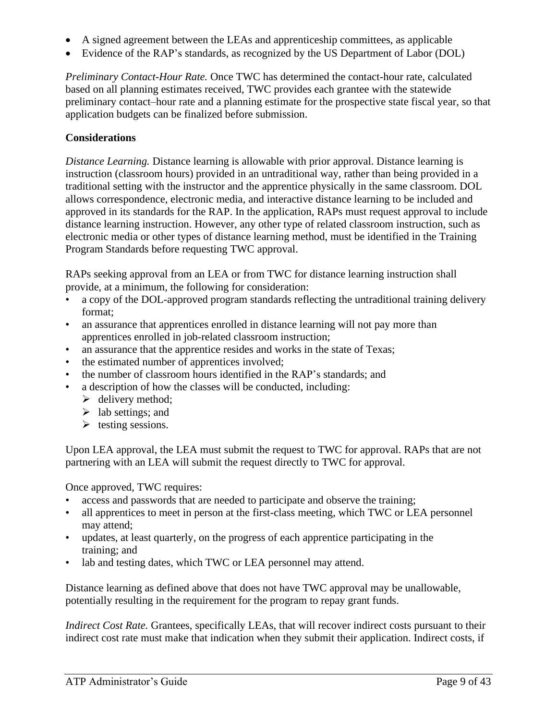- A signed agreement between the LEAs and apprenticeship committees, as applicable
- Evidence of the RAP's standards, as recognized by the US Department of Labor (DOL)

*Preliminary Contact-Hour Rate.* Once TWC has determined the contact-hour rate, calculated based on all planning estimates received, TWC provides each grantee with the statewide preliminary contact–hour rate and a planning estimate for the prospective state fiscal year, so that application budgets can be finalized before submission.

#### **Considerations**

*Distance Learning.* Distance learning is allowable with prior approval. Distance learning is instruction (classroom hours) provided in an untraditional way, rather than being provided in a traditional setting with the instructor and the apprentice physically in the same classroom. DOL allows correspondence, electronic media, and interactive distance learning to be included and approved in its standards for the RAP. In the application, RAPs must request approval to include distance learning instruction. However, any other type of related classroom instruction, such as electronic media or other types of distance learning method, must be identified in the Training Program Standards before requesting TWC approval.

RAPs seeking approval from an LEA or from TWC for distance learning instruction shall provide, at a minimum, the following for consideration:

- a copy of the DOL-approved program standards reflecting the untraditional training delivery format;
- an assurance that apprentices enrolled in distance learning will not pay more than apprentices enrolled in job-related classroom instruction;
- an assurance that the apprentice resides and works in the state of Texas;
- the estimated number of apprentices involved;
- the number of classroom hours identified in the RAP's standards; and
- a description of how the classes will be conducted, including:
	- $\blacktriangleright$  delivery method;
	- $\blacktriangleright$  lab settings; and
	- ➢ testing sessions.

Upon LEA approval, the LEA must submit the request to TWC for approval. RAPs that are not partnering with an LEA will submit the request directly to TWC for approval.

Once approved, TWC requires:

- access and passwords that are needed to participate and observe the training;
- all apprentices to meet in person at the first-class meeting, which TWC or LEA personnel may attend;
- updates, at least quarterly, on the progress of each apprentice participating in the training; and
- lab and testing dates, which TWC or LEA personnel may attend.

Distance learning as defined above that does not have TWC approval may be unallowable, potentially resulting in the requirement for the program to repay grant funds.

*Indirect Cost Rate.* Grantees, specifically LEAs, that will recover indirect costs pursuant to their indirect cost rate must make that indication when they submit their application. Indirect costs, if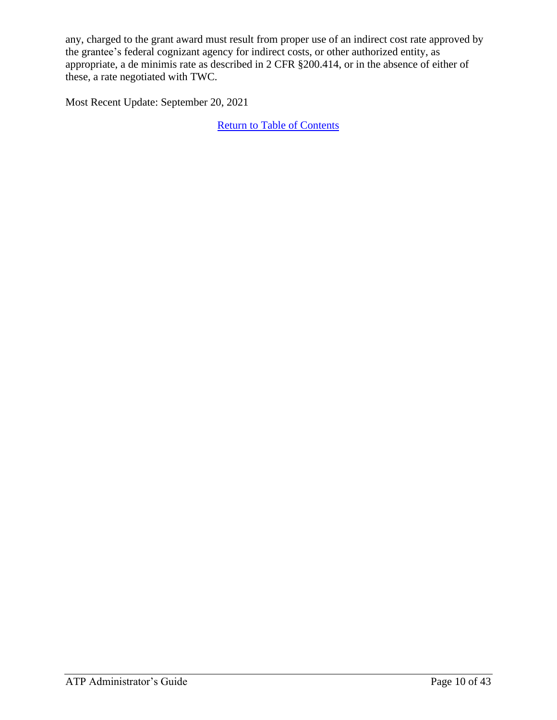any, charged to the grant award must result from proper use of an indirect cost rate approved by the grantee's federal cognizant agency for indirect costs, or other authorized entity, as appropriate, a de minimis rate as described in 2 CFR §200.414, or in the absence of either of these, a rate negotiated with TWC.

Most Recent Update: September 20, 2021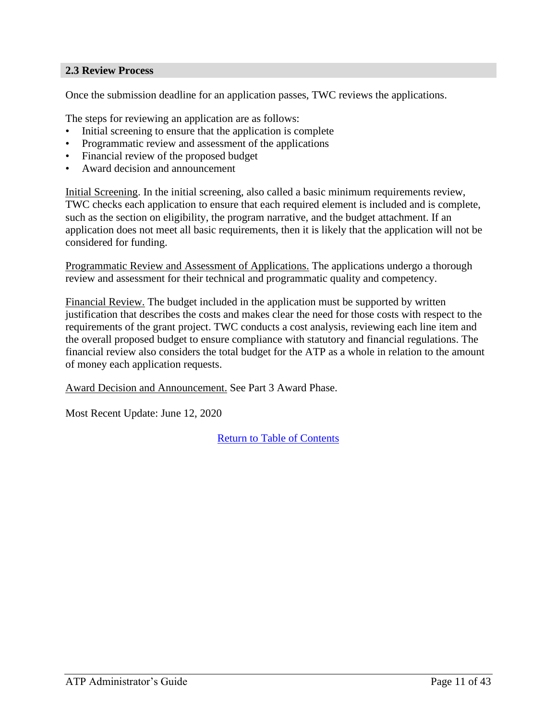#### <span id="page-10-0"></span>**2.3 Review Process**

Once the submission deadline for an application passes, TWC reviews the applications.

The steps for reviewing an application are as follows:

- Initial screening to ensure that the application is complete
- Programmatic review and assessment of the applications
- Financial review of the proposed budget
- Award decision and announcement

Initial Screening. In the initial screening, also called a basic minimum requirements review, TWC checks each application to ensure that each required element is included and is complete, such as the section on eligibility, the program narrative, and the budget attachment. If an application does not meet all basic requirements, then it is likely that the application will not be considered for funding.

Programmatic Review and Assessment of Applications. The applications undergo a thorough review and assessment for their technical and programmatic quality and competency.

Financial Review. The budget included in the application must be supported by written justification that describes the costs and makes clear the need for those costs with respect to the requirements of the grant project. TWC conducts a cost analysis, reviewing each line item and the overall proposed budget to ensure compliance with statutory and financial regulations. The financial review also considers the total budget for the ATP as a whole in relation to the amount of money each application requests.

Award Decision and Announcement. See Part 3 Award Phase.

Most Recent Update: June 12, 2020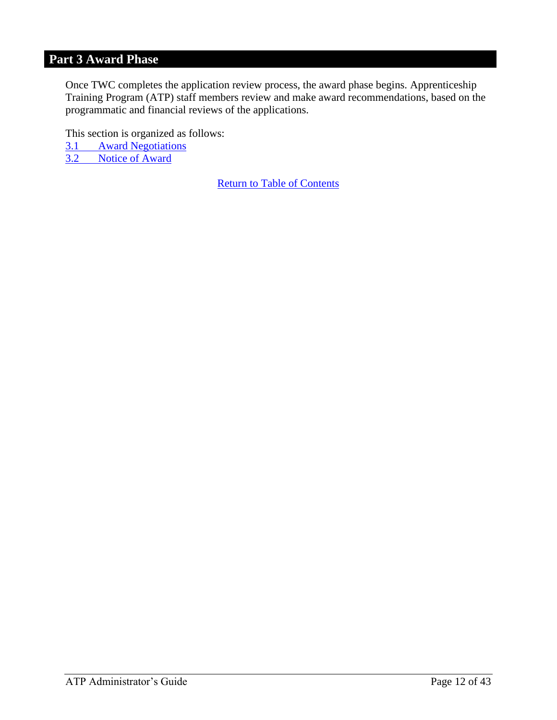## <span id="page-11-0"></span>**Part 3 Award Phase**

Once TWC completes the application review process, the award phase begins. Apprenticeship Training Program (ATP) staff members review and make award recommendations, based on the programmatic and financial reviews of the applications.

This section is organized as follows: 3.1 Award Negotiations 3.2 [Notice of Award](#page-13-0)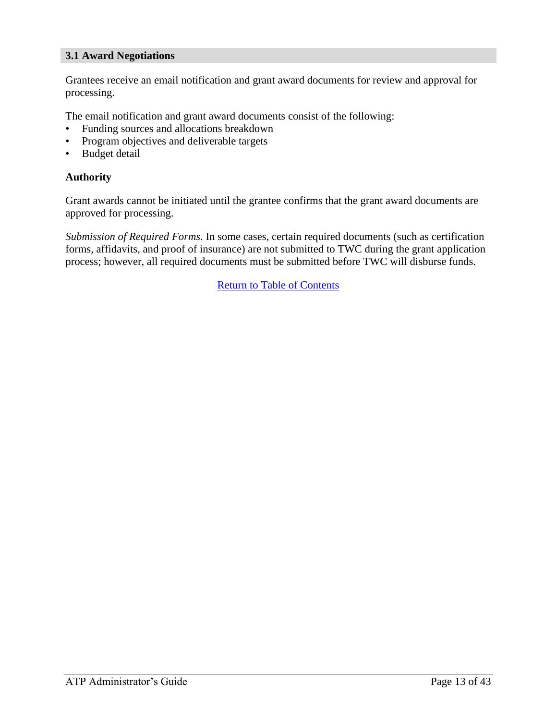#### **3.1 Award Negotiations**

Grantees receive an email notification and grant award documents for review and approval for processing.

The email notification and grant award documents consist of the following:

- Funding sources and allocations breakdown
- Program objectives and deliverable targets
- **Budget detail**

#### **Authority**

Grant awards cannot be initiated until the grantee confirms that the grant award documents are approved for processing.

*Submission of Required Forms.* In some cases, certain required documents (such as certification forms, affidavits, and proof of insurance) are not submitted to TWC during the grant application process; however, all required documents must be submitted before TWC will disburse funds.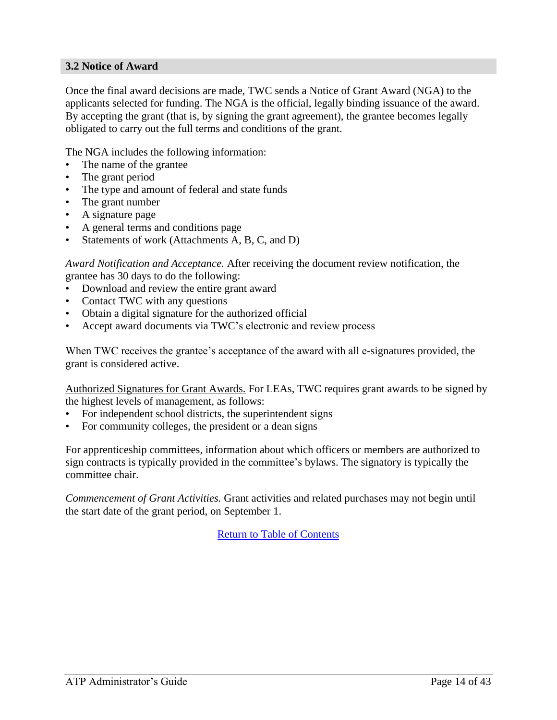#### <span id="page-13-0"></span>**3.2 Notice of Award**

Once the final award decisions are made, TWC sends a Notice of Grant Award (NGA) to the applicants selected for funding. The NGA is the official, legally binding issuance of the award. By accepting the grant (that is, by signing the grant agreement), the grantee becomes legally obligated to carry out the full terms and conditions of the grant.

The NGA includes the following information:

- The name of the grantee
- The grant period
- The type and amount of federal and state funds
- The grant number
- A signature page
- A general terms and conditions page
- Statements of work (Attachments A, B, C, and D)

*Award Notification and Acceptance.* After receiving the document review notification, the grantee has 30 days to do the following:

- Download and review the entire grant award
- Contact TWC with any questions
- Obtain a digital signature for the authorized official
- Accept award documents via TWC's electronic and review process

When TWC receives the grantee's acceptance of the award with all e-signatures provided, the grant is considered active.

Authorized Signatures for Grant Awards. For LEAs, TWC requires grant awards to be signed by the highest levels of management, as follows:

- For independent school districts, the superintendent signs
- For community colleges, the president or a dean signs

For apprenticeship committees, information about which officers or members are authorized to sign contracts is typically provided in the committee's bylaws. The signatory is typically the committee chair.

*Commencement of Grant Activities.* Grant activities and related purchases may not begin until the start date of the grant period, on September 1.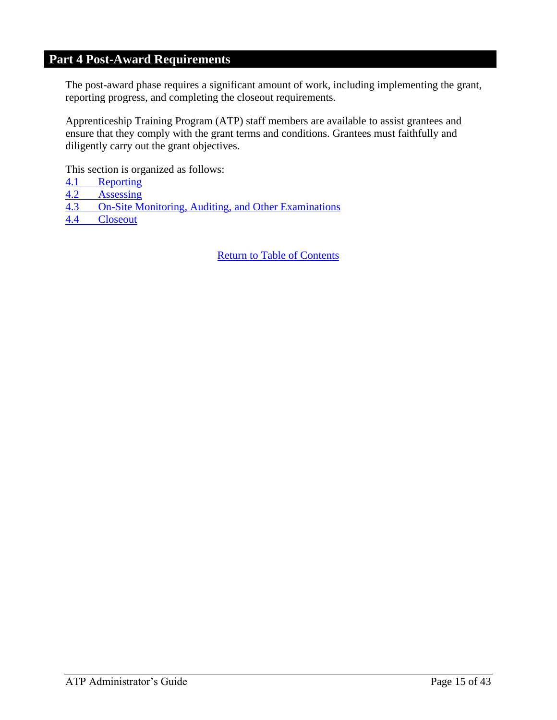## <span id="page-14-0"></span>**Part 4 Post-Award Requirements**

The post-award phase requires a significant amount of work, including implementing the grant, reporting progress, and completing the closeout requirements.

Apprenticeship Training Program (ATP) staff members are available to assist grantees and ensure that they comply with the grant terms and conditions. Grantees must faithfully and diligently carry out the grant objectives.

This section is organized as follows:

- 4.1 [Reporting](#page-15-0)<br>4.2 Assessing
- **[Assessing](#page-17-0)**
- 4.3 On-Site [Monitoring, Auditing,](#page-18-0) and Other Examinations
- 4.4 [Closeout](#page-19-0)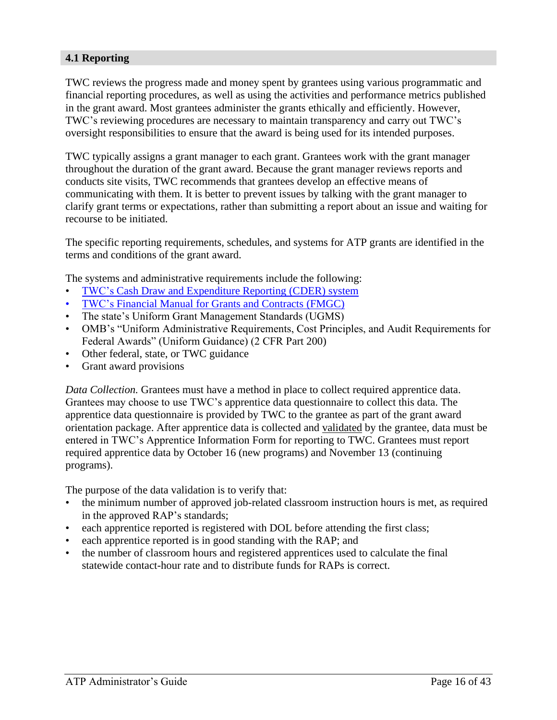#### <span id="page-15-0"></span>**4.1 Reporting**

TWC reviews the progress made and money spent by grantees using various programmatic and financial reporting procedures, as well as using the activities and performance metrics published in the grant award. Most grantees administer the grants ethically and efficiently. However, TWC's reviewing procedures are necessary to maintain transparency and carry out TWC's oversight responsibilities to ensure that the award is being used for its intended purposes.

TWC typically assigns a grant manager to each grant. Grantees work with the grant manager throughout the duration of the grant award. Because the grant manager reviews reports and conducts site visits, TWC recommends that grantees develop an effective means of communicating with them. It is better to prevent issues by talking with the grant manager to clarify grant terms or expectations, rather than submitting a report about an issue and waiting for recourse to be initiated.

The specific reporting requirements, schedules, and systems for ATP grants are identified in the terms and conditions of the grant award.

The systems and administrative requirements include the following:

- [TWC's Cash Draw and Expenditure Reporting \(CDER\) system](https://apps.twc.state.tx.us/CASHDRAW/dispatcher)
- [TWC's Financial Manual for Grants and Contracts](http://www.twc.state.tx.us/partners/financial-manual-grants-contracts) (FMGC)
- The state's Uniform Grant Management Standards (UGMS)
- OMB's "Uniform Administrative Requirements, Cost Principles, and Audit Requirements for Federal Awards" (Uniform Guidance) (2 CFR Part 200)
- Other federal, state, or TWC guidance
- Grant award provisions

*Data Collection.* Grantees must have a method in place to collect required apprentice data. Grantees may choose to use TWC's apprentice data questionnaire to collect this data. The apprentice data questionnaire is provided by TWC to the grantee as part of the grant award orientation package. After apprentice data is collected and validated by the grantee, data must be entered in TWC's Apprentice Information Form for reporting to TWC. Grantees must report required apprentice data by October 16 (new programs) and November 13 (continuing programs).

The purpose of the data validation is to verify that:

- the minimum number of approved job-related classroom instruction hours is met, as required in the approved RAP's standards;
- each apprentice reported is registered with DOL before attending the first class;
- each apprentice reported is in good standing with the RAP; and
- the number of classroom hours and registered apprentices used to calculate the final statewide contact-hour rate and to distribute funds for RAPs is correct.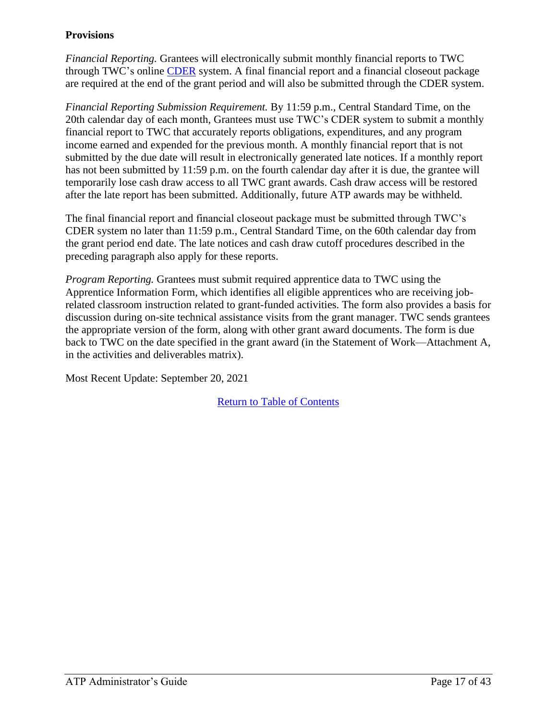### **Provisions**

*Financial Reporting.* Grantees will electronically submit monthly financial reports to TWC through TWC's online [CDER](https://apps.twc.state.tx.us/CASHDRAW/dispatcher) system. A final financial report and a financial closeout package are required at the end of the grant period and will also be submitted through the CDER system.

*Financial Reporting Submission Requirement.* By 11:59 p.m., Central Standard Time, on the 20th calendar day of each month, Grantees must use TWC's CDER system to submit a monthly financial report to TWC that accurately reports obligations, expenditures, and any program income earned and expended for the previous month. A monthly financial report that is not submitted by the due date will result in electronically generated late notices. If a monthly report has not been submitted by 11:59 p.m. on the fourth calendar day after it is due, the grantee will temporarily lose cash draw access to all TWC grant awards. Cash draw access will be restored after the late report has been submitted. Additionally, future ATP awards may be withheld.

The final financial report and financial closeout package must be submitted through TWC's CDER system no later than 11:59 p.m., Central Standard Time, on the 60th calendar day from the grant period end date. The late notices and cash draw cutoff procedures described in the preceding paragraph also apply for these reports.

*Program Reporting.* Grantees must submit required apprentice data to TWC using the Apprentice Information Form, which identifies all eligible apprentices who are receiving jobrelated classroom instruction related to grant-funded activities. The form also provides a basis for discussion during on-site technical assistance visits from the grant manager. TWC sends grantees the appropriate version of the form, along with other grant award documents. The form is due back to TWC on the date specified in the grant award (in the Statement of Work—Attachment A, in the activities and deliverables matrix).

Most Recent Update: September 20, 2021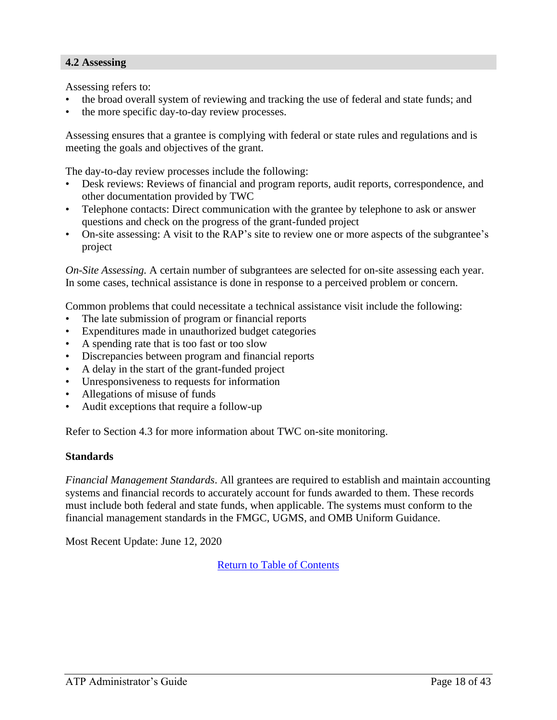#### <span id="page-17-0"></span>**4.2 Assessing**

Assessing refers to:

- the broad overall system of reviewing and tracking the use of federal and state funds; and
- the more specific day-to-day review processes.

Assessing ensures that a grantee is complying with federal or state rules and regulations and is meeting the goals and objectives of the grant.

The day-to-day review processes include the following:

- Desk reviews: Reviews of financial and program reports, audit reports, correspondence, and other documentation provided by TWC
- Telephone contacts: Direct communication with the grantee by telephone to ask or answer questions and check on the progress of the grant-funded project
- On-site assessing: A visit to the RAP's site to review one or more aspects of the subgrantee's project

*On-Site Assessing.* A certain number of subgrantees are selected for on-site assessing each year. In some cases, technical assistance is done in response to a perceived problem or concern.

Common problems that could necessitate a technical assistance visit include the following:

- The late submission of program or financial reports
- Expenditures made in unauthorized budget categories
- A spending rate that is too fast or too slow
- Discrepancies between program and financial reports
- A delay in the start of the grant-funded project
- Unresponsiveness to requests for information
- Allegations of misuse of funds
- Audit exceptions that require a follow-up

Refer to Section 4.3 for more information about TWC on-site monitoring.

#### **Standards**

*Financial Management Standards*. All grantees are required to establish and maintain accounting systems and financial records to accurately account for funds awarded to them. These records must include both federal and state funds, when applicable. The systems must conform to the financial management standards in the FMGC, UGMS, and OMB Uniform Guidance.

Most Recent Update: June 12, 2020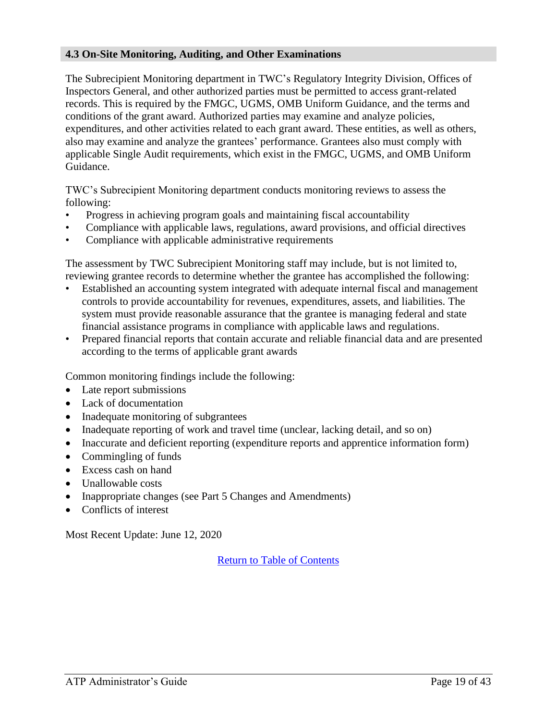#### <span id="page-18-0"></span>**4.3 On-Site Monitoring, Auditing, and Other Examinations**

The Subrecipient Monitoring department in TWC's Regulatory Integrity Division, Offices of Inspectors General, and other authorized parties must be permitted to access grant-related records. This is required by the FMGC, UGMS, OMB Uniform Guidance, and the terms and conditions of the grant award. Authorized parties may examine and analyze policies, expenditures, and other activities related to each grant award. These entities, as well as others, also may examine and analyze the grantees' performance. Grantees also must comply with applicable Single Audit requirements, which exist in the FMGC, UGMS, and OMB Uniform Guidance.

TWC's Subrecipient Monitoring department conducts monitoring reviews to assess the following:

- Progress in achieving program goals and maintaining fiscal accountability
- Compliance with applicable laws, regulations, award provisions, and official directives
- Compliance with applicable administrative requirements

The assessment by TWC Subrecipient Monitoring staff may include, but is not limited to, reviewing grantee records to determine whether the grantee has accomplished the following:

- Established an accounting system integrated with adequate internal fiscal and management controls to provide accountability for revenues, expenditures, assets, and liabilities. The system must provide reasonable assurance that the grantee is managing federal and state financial assistance programs in compliance with applicable laws and regulations.
- Prepared financial reports that contain accurate and reliable financial data and are presented according to the terms of applicable grant awards

Common monitoring findings include the following:

- Late report submissions
- Lack of documentation
- Inadequate monitoring of subgrantees
- Inadequate reporting of work and travel time (unclear, lacking detail, and so on)
- Inaccurate and deficient reporting (expenditure reports and apprentice information form)
- Commingling of funds
- Excess cash on hand
- Unallowable costs
- Inappropriate changes (see Part 5 Changes and Amendments)
- Conflicts of interest

Most Recent Update: June 12, 2020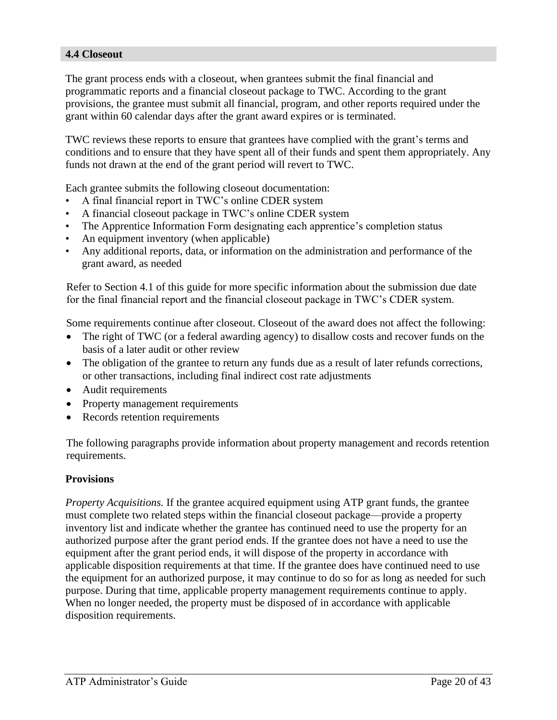#### <span id="page-19-0"></span>**4.4 Closeout**

The grant process ends with a closeout, when grantees submit the final financial and programmatic reports and a financial closeout package to TWC. According to the grant provisions, the grantee must submit all financial, program, and other reports required under the grant within 60 calendar days after the grant award expires or is terminated.

TWC reviews these reports to ensure that grantees have complied with the grant's terms and conditions and to ensure that they have spent all of their funds and spent them appropriately. Any funds not drawn at the end of the grant period will revert to TWC.

Each grantee submits the following closeout documentation:

- A final financial report in TWC's online CDER system
- A financial closeout package in TWC's online CDER system
- The Apprentice Information Form designating each apprentice's completion status
- An equipment inventory (when applicable)
- Any additional reports, data, or information on the administration and performance of the grant award, as needed

Refer to Section 4.1 of this guide for more specific information about the submission due date for the final financial report and the financial closeout package in TWC's CDER system.

Some requirements continue after closeout. Closeout of the award does not affect the following:

- The right of TWC (or a federal awarding agency) to disallow costs and recover funds on the basis of a later audit or other review
- The obligation of the grantee to return any funds due as a result of later refunds corrections, or other transactions, including final indirect cost rate adjustments
- Audit requirements
- Property management requirements
- Records retention requirements

The following paragraphs provide information about property management and records retention requirements.

#### **Provisions**

*Property Acquisitions.* If the grantee acquired equipment using ATP grant funds, the grantee must complete two related steps within the financial closeout package—provide a property inventory list and indicate whether the grantee has continued need to use the property for an authorized purpose after the grant period ends. If the grantee does not have a need to use the equipment after the grant period ends, it will dispose of the property in accordance with applicable disposition requirements at that time. If the grantee does have continued need to use the equipment for an authorized purpose, it may continue to do so for as long as needed for such purpose. During that time, applicable property management requirements continue to apply. When no longer needed, the property must be disposed of in accordance with applicable disposition requirements.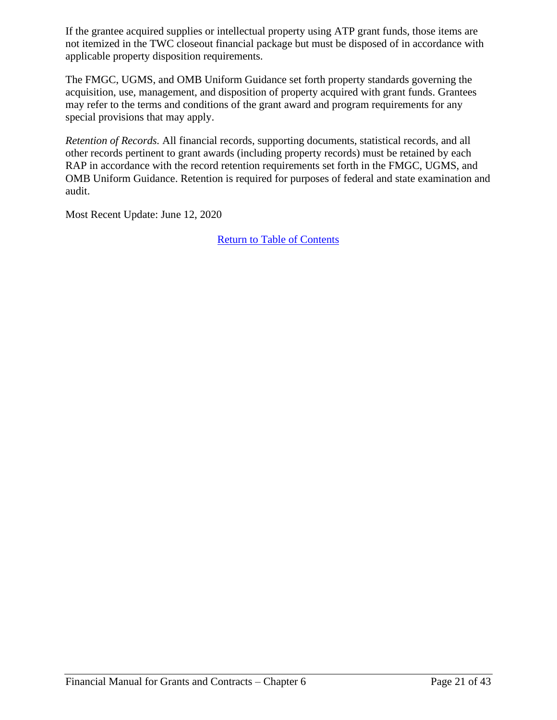If the grantee acquired supplies or intellectual property using ATP grant funds, those items are not itemized in the TWC closeout financial package but must be disposed of in accordance with applicable property disposition requirements.

The FMGC, UGMS, and OMB Uniform Guidance set forth property standards governing the acquisition, use, management, and disposition of property acquired with grant funds. Grantees may refer to the terms and conditions of the grant award and program requirements for any special provisions that may apply.

*Retention of Records.* All financial records, supporting documents, statistical records, and all other records pertinent to grant awards (including property records) must be retained by each RAP in accordance with the record retention requirements set forth in the FMGC, UGMS, and OMB Uniform Guidance. Retention is required for purposes of federal and state examination and audit.

Most Recent Update: June 12, 2020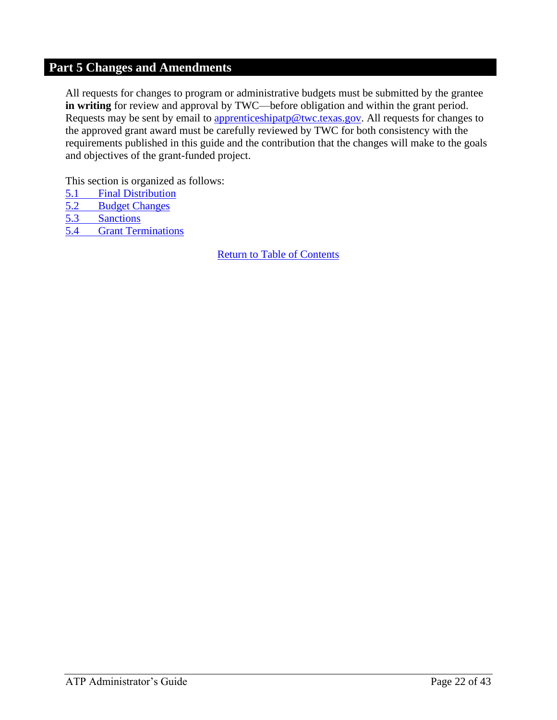## <span id="page-21-0"></span>**Part 5 Changes and Amendments**

All requests for changes to program or administrative budgets must be submitted by the grantee **in writing** for review and approval by TWC—before obligation and within the grant period. Requests may be sent by email to [apprenticeshipatp@twc.texas.gov.](mailto:apprenticeshipatp@twc.texas.gov) All requests for changes to the approved grant award must be carefully reviewed by TWC for both consistency with the requirements published in this guide and the contribution that the changes will make to the goals and objectives of the grant-funded project.

This section is organized as follows:

- 5.1 [Final Distribution](#page-22-0)
- 5.2 [Budget Changes](#page-23-0)
- 5.3 [Sanctions](#page-24-0)
- 5.4 Grant Terminations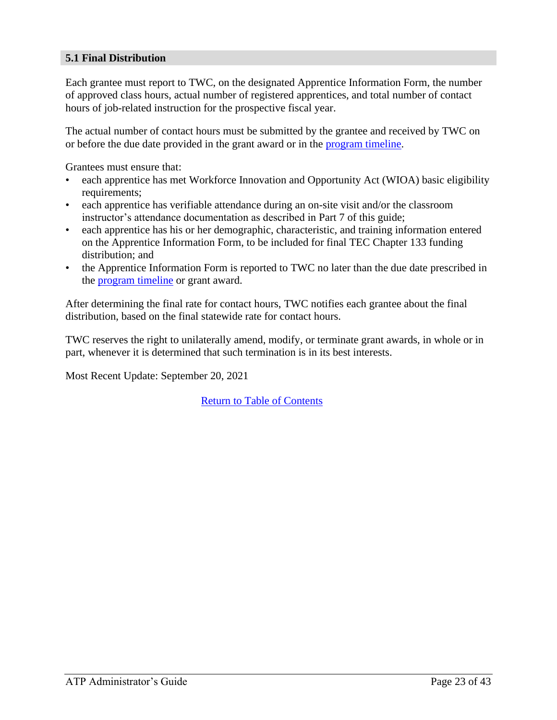#### <span id="page-22-0"></span>**5.1 Final Distribution**

Each grantee must report to TWC, on the designated Apprentice Information Form, the number of approved class hours, actual number of registered apprentices, and total number of contact hours of job-related instruction for the prospective fiscal year.

The actual number of contact hours must be submitted by the grantee and received by TWC on or before the due date provided in the grant award or in the [program timeline.](https://twc.texas.gov/files/twc/fy22-apprenticeship-program-timeline-final-twc.pdf)

Grantees must ensure that:

- each apprentice has met Workforce Innovation and Opportunity Act (WIOA) basic eligibility requirements;
- each apprentice has verifiable attendance during an on-site visit and/or the classroom instructor's attendance documentation as described in Part 7 of this guide;
- each apprentice has his or her demographic, characteristic, and training information entered on the Apprentice Information Form, to be included for final TEC Chapter 133 funding distribution; and
- the Apprentice Information Form is reported to TWC no later than the due date prescribed in the [program timeline](https://twc.texas.gov/files/twc/fy22-apprenticeship-program-timeline-final-twc.pdf) or grant award.

After determining the final rate for contact hours, TWC notifies each grantee about the final distribution, based on the final statewide rate for contact hours.

TWC reserves the right to unilaterally amend, modify, or terminate grant awards, in whole or in part, whenever it is determined that such termination is in its best interests.

Most Recent Update: September 20, 2021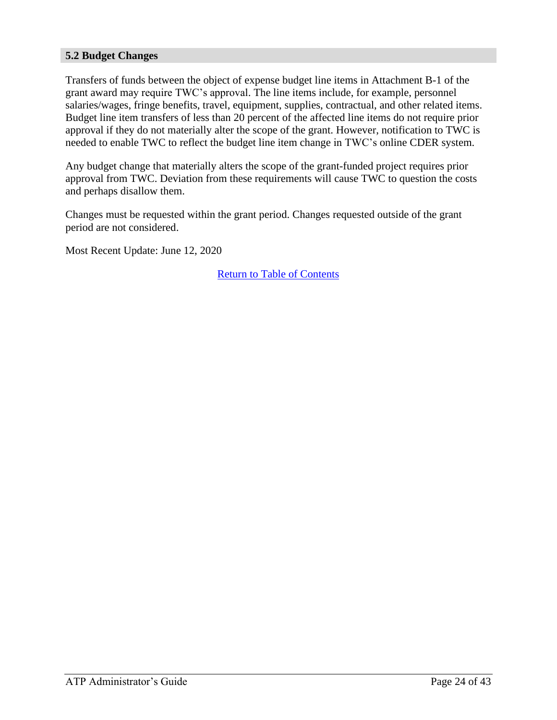#### <span id="page-23-0"></span>**5.2 Budget Changes**

Transfers of funds between the object of expense budget line items in Attachment B-1 of the grant award may require TWC's approval. The line items include, for example, personnel salaries/wages, fringe benefits, travel, equipment, supplies, contractual, and other related items. Budget line item transfers of less than 20 percent of the affected line items do not require prior approval if they do not materially alter the scope of the grant. However, notification to TWC is needed to enable TWC to reflect the budget line item change in TWC's online CDER system.

Any budget change that materially alters the scope of the grant-funded project requires prior approval from TWC. Deviation from these requirements will cause TWC to question the costs and perhaps disallow them.

Changes must be requested within the grant period. Changes requested outside of the grant period are not considered.

Most Recent Update: June 12, 2020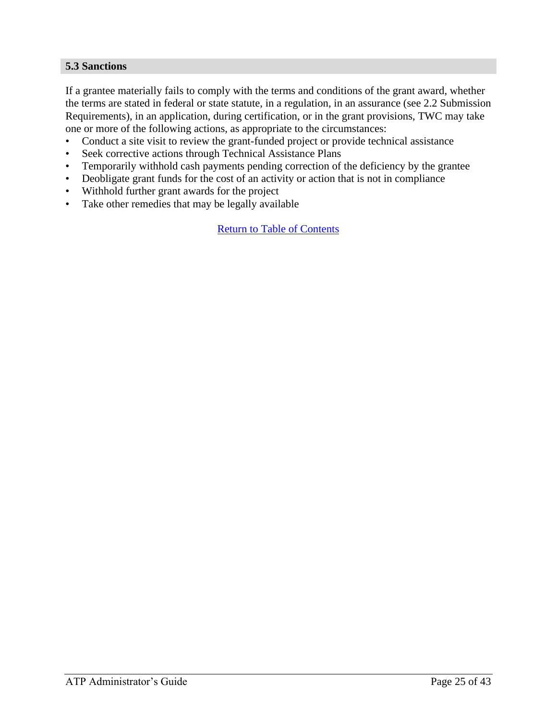#### <span id="page-24-0"></span>**5.3 Sanctions**

If a grantee materially fails to comply with the terms and conditions of the grant award, whether the terms are stated in federal or state statute, in a regulation, in an assurance (see 2.2 Submission Requirements), in an application, during certification, or in the grant provisions, TWC may take one or more of the following actions, as appropriate to the circumstances:

- Conduct a site visit to review the grant-funded project or provide technical assistance
- Seek corrective actions through Technical Assistance Plans
- Temporarily withhold cash payments pending correction of the deficiency by the grantee
- Deobligate grant funds for the cost of an activity or action that is not in compliance
- Withhold further grant awards for the project
- Take other remedies that may be legally available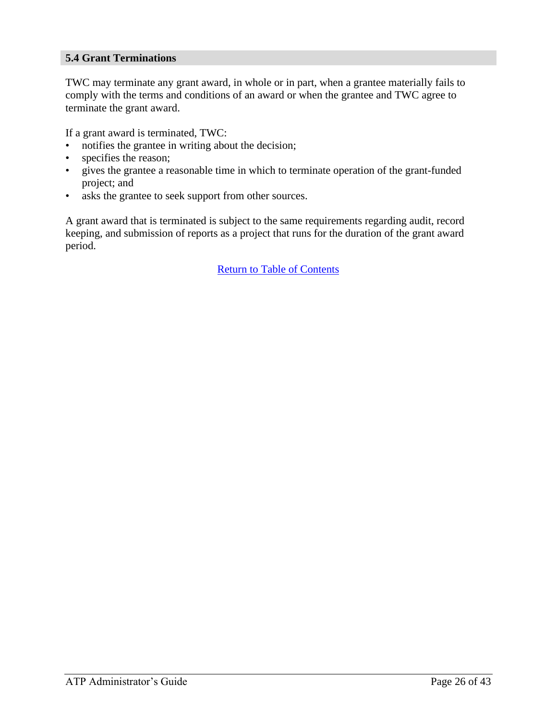#### **5.4 Grant Terminations**

TWC may terminate any grant award, in whole or in part, when a grantee materially fails to comply with the terms and conditions of an award or when the grantee and TWC agree to terminate the grant award.

If a grant award is terminated, TWC:

- notifies the grantee in writing about the decision;
- specifies the reason;
- gives the grantee a reasonable time in which to terminate operation of the grant-funded project; and
- asks the grantee to seek support from other sources.

A grant award that is terminated is subject to the same requirements regarding audit, record keeping, and submission of reports as a project that runs for the duration of the grant award period.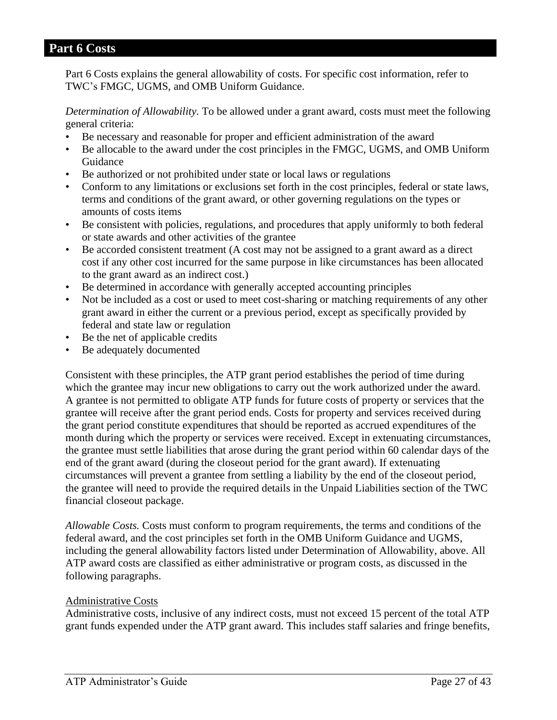#### <span id="page-26-0"></span>**Part 6 Costs**

Part 6 Costs explains the general allowability of costs. For specific cost information, refer to TWC's FMGC, UGMS, and OMB Uniform Guidance.

*Determination of Allowability.* To be allowed under a grant award, costs must meet the following general criteria:

- Be necessary and reasonable for proper and efficient administration of the award
- Be allocable to the award under the cost principles in the FMGC, UGMS, and OMB Uniform Guidance
- Be authorized or not prohibited under state or local laws or regulations
- Conform to any limitations or exclusions set forth in the cost principles, federal or state laws, terms and conditions of the grant award, or other governing regulations on the types or amounts of costs items
- Be consistent with policies, regulations, and procedures that apply uniformly to both federal or state awards and other activities of the grantee
- Be accorded consistent treatment (A cost may not be assigned to a grant award as a direct cost if any other cost incurred for the same purpose in like circumstances has been allocated to the grant award as an indirect cost.)
- Be determined in accordance with generally accepted accounting principles
- Not be included as a cost or used to meet cost-sharing or matching requirements of any other grant award in either the current or a previous period, except as specifically provided by federal and state law or regulation
- Be the net of applicable credits
- Be adequately documented

Consistent with these principles, the ATP grant period establishes the period of time during which the grantee may incur new obligations to carry out the work authorized under the award. A grantee is not permitted to obligate ATP funds for future costs of property or services that the grantee will receive after the grant period ends. Costs for property and services received during the grant period constitute expenditures that should be reported as accrued expenditures of the month during which the property or services were received. Except in extenuating circumstances, the grantee must settle liabilities that arose during the grant period within 60 calendar days of the end of the grant award (during the closeout period for the grant award). If extenuating circumstances will prevent a grantee from settling a liability by the end of the closeout period, the grantee will need to provide the required details in the Unpaid Liabilities section of the TWC financial closeout package.

*Allowable Costs.* Costs must conform to program requirements, the terms and conditions of the federal award, and the cost principles set forth in the OMB Uniform Guidance and UGMS, including the general allowability factors listed under Determination of Allowability, above. All ATP award costs are classified as either administrative or program costs, as discussed in the following paragraphs.

#### Administrative Costs

Administrative costs, inclusive of any indirect costs, must not exceed 15 percent of the total ATP grant funds expended under the ATP grant award. This includes staff salaries and fringe benefits,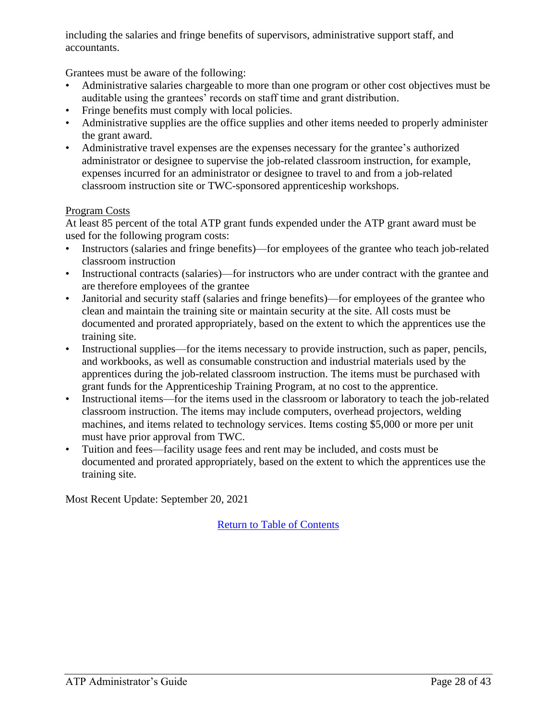including the salaries and fringe benefits of supervisors, administrative support staff, and accountants.

Grantees must be aware of the following:

- Administrative salaries chargeable to more than one program or other cost objectives must be auditable using the grantees' records on staff time and grant distribution.
- Fringe benefits must comply with local policies.
- Administrative supplies are the office supplies and other items needed to properly administer the grant award.
- Administrative travel expenses are the expenses necessary for the grantee's authorized administrator or designee to supervise the job-related classroom instruction, for example, expenses incurred for an administrator or designee to travel to and from a job-related classroom instruction site or TWC-sponsored apprenticeship workshops.

#### Program Costs

At least 85 percent of the total ATP grant funds expended under the ATP grant award must be used for the following program costs:

- Instructors (salaries and fringe benefits)—for employees of the grantee who teach job-related classroom instruction
- Instructional contracts (salaries)—for instructors who are under contract with the grantee and are therefore employees of the grantee
- Janitorial and security staff (salaries and fringe benefits)—for employees of the grantee who clean and maintain the training site or maintain security at the site. All costs must be documented and prorated appropriately, based on the extent to which the apprentices use the training site.
- Instructional supplies—for the items necessary to provide instruction, such as paper, pencils, and workbooks, as well as consumable construction and industrial materials used by the apprentices during the job-related classroom instruction. The items must be purchased with grant funds for the Apprenticeship Training Program, at no cost to the apprentice.
- Instructional items—for the items used in the classroom or laboratory to teach the job-related classroom instruction. The items may include computers, overhead projectors, welding machines, and items related to technology services. Items costing \$5,000 or more per unit must have prior approval from TWC.
- Tuition and fees—facility usage fees and rent may be included, and costs must be documented and prorated appropriately, based on the extent to which the apprentices use the training site.

Most Recent Update: September 20, 2021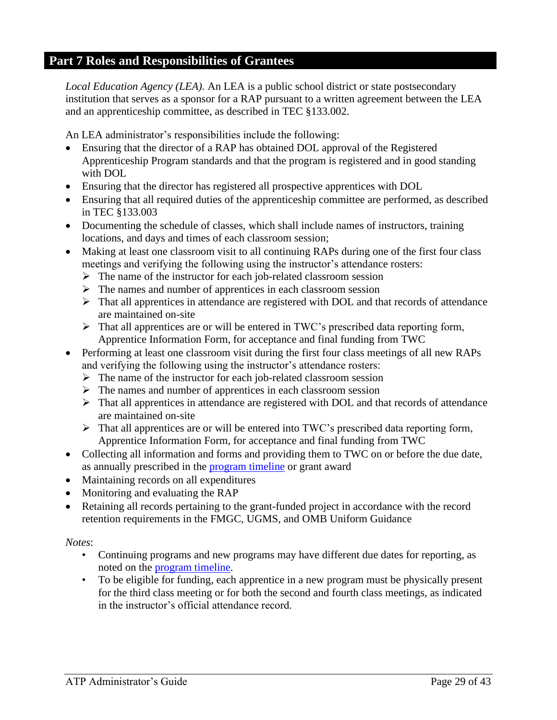## <span id="page-28-0"></span>**Part 7 Roles and Responsibilities of Grantees**

*Local Education Agency (LEA).* An LEA is a public school district or state postsecondary institution that serves as a sponsor for a RAP pursuant to a written agreement between the LEA and an apprenticeship committee, as described in TEC §133.002.

An LEA administrator's responsibilities include the following:

- Ensuring that the director of a RAP has obtained DOL approval of the Registered Apprenticeship Program standards and that the program is registered and in good standing with DOL
- Ensuring that the director has registered all prospective apprentices with DOL
- Ensuring that all required duties of the apprenticeship committee are performed, as described in TEC §133.003
- Documenting the schedule of classes, which shall include names of instructors, training locations, and days and times of each classroom session;
- Making at least one classroom visit to all continuing RAPs during one of the first four class meetings and verifying the following using the instructor's attendance rosters:
	- $\triangleright$  The name of the instructor for each job-related classroom session
	- $\triangleright$  The names and number of apprentices in each classroom session
	- ➢ That all apprentices in attendance are registered with DOL and that records of attendance are maintained on-site
	- ➢ That all apprentices are or will be entered in TWC's prescribed data reporting form, Apprentice Information Form, for acceptance and final funding from TWC
- Performing at least one classroom visit during the first four class meetings of all new RAPs and verifying the following using the instructor's attendance rosters:
	- ➢ The name of the instructor for each job-related classroom session
	- ➢ The names and number of apprentices in each classroom session
	- ➢ That all apprentices in attendance are registered with DOL and that records of attendance are maintained on-site
	- $\triangleright$  That all apprentices are or will be entered into TWC's prescribed data reporting form, Apprentice Information Form, for acceptance and final funding from TWC
- Collecting all information and forms and providing them to TWC on or before the due date, as annually prescribed in the [program timeline](https://twc.texas.gov/files/twc/fy22-apprenticeship-program-timeline-final-twc.pdf) or grant award
- Maintaining records on all expenditures
- Monitoring and evaluating the RAP
- Retaining all records pertaining to the grant-funded project in accordance with the record retention requirements in the FMGC, UGMS, and OMB Uniform Guidance

#### *Notes*:

- Continuing programs and new programs may have different due dates for reporting, as noted on the [program timeline.](https://twc.texas.gov/files/twc/fy22-apprenticeship-program-timeline-final-twc.pdf)
- To be eligible for funding, each apprentice in a new program must be physically present for the third class meeting or for both the second and fourth class meetings, as indicated in the instructor's official attendance record.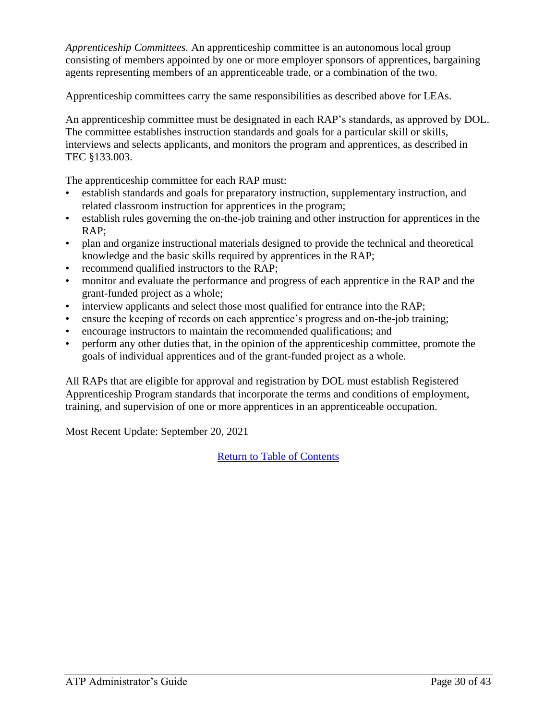*Apprenticeship Committees.* An apprenticeship committee is an autonomous local group consisting of members appointed by one or more employer sponsors of apprentices, bargaining agents representing members of an apprenticeable trade, or a combination of the two.

Apprenticeship committees carry the same responsibilities as described above for LEAs.

An apprenticeship committee must be designated in each RAP's standards, as approved by DOL. The committee establishes instruction standards and goals for a particular skill or skills, interviews and selects applicants, and monitors the program and apprentices, as described in TEC §133.003.

The apprenticeship committee for each RAP must:

- establish standards and goals for preparatory instruction, supplementary instruction, and related classroom instruction for apprentices in the program;
- establish rules governing the on-the-job training and other instruction for apprentices in the RAP;
- plan and organize instructional materials designed to provide the technical and theoretical knowledge and the basic skills required by apprentices in the RAP;
- recommend qualified instructors to the RAP;
- monitor and evaluate the performance and progress of each apprentice in the RAP and the grant-funded project as a whole;
- interview applicants and select those most qualified for entrance into the RAP;
- ensure the keeping of records on each apprentice's progress and on-the-job training;
- encourage instructors to maintain the recommended qualifications; and
- perform any other duties that, in the opinion of the apprenticeship committee, promote the goals of individual apprentices and of the grant-funded project as a whole.

All RAPs that are eligible for approval and registration by DOL must establish Registered Apprenticeship Program standards that incorporate the terms and conditions of employment, training, and supervision of one or more apprentices in an apprenticeable occupation.

Most Recent Update: September 20, 2021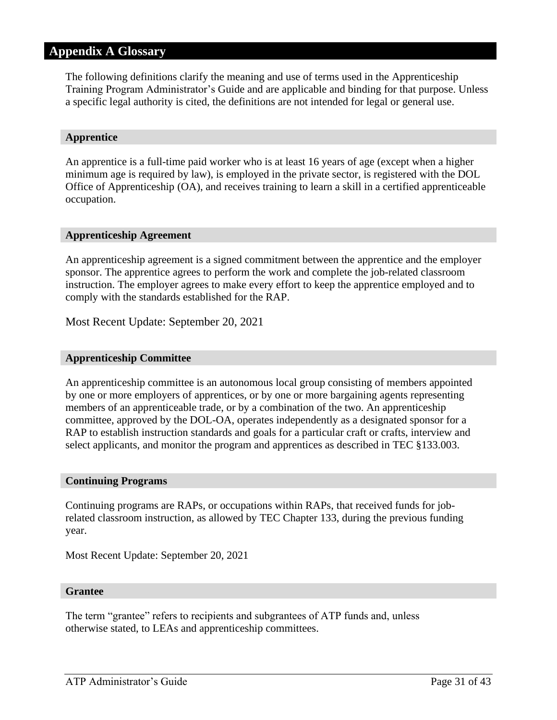## <span id="page-30-0"></span>**Appendix A Glossary**

The following definitions clarify the meaning and use of terms used in the Apprenticeship Training Program Administrator's Guide and are applicable and binding for that purpose. Unless a specific legal authority is cited, the definitions are not intended for legal or general use.

#### **Apprentice**

An apprentice is a full-time paid worker who is at least 16 years of age (except when a higher minimum age is required by law), is employed in the private sector, is registered with the DOL Office of Apprenticeship (OA), and receives training to learn a skill in a certified apprenticeable occupation.

#### **Apprenticeship Agreement**

An apprenticeship agreement is a signed commitment between the apprentice and the employer sponsor. The apprentice agrees to perform the work and complete the job-related classroom instruction. The employer agrees to make every effort to keep the apprentice employed and to comply with the standards established for the RAP.

Most Recent Update: September 20, 2021

#### **Apprenticeship Committee**

An apprenticeship committee is an autonomous local group consisting of members appointed by one or more employers of apprentices, or by one or more bargaining agents representing members of an apprenticeable trade, or by a combination of the two. An apprenticeship committee, approved by the DOL-OA, operates independently as a designated sponsor for a RAP to establish instruction standards and goals for a particular craft or crafts, interview and select applicants, and monitor the program and apprentices as described in TEC §133.003.

#### **Continuing Programs**

Continuing programs are RAPs, or occupations within RAPs, that received funds for jobrelated classroom instruction, as allowed by TEC Chapter 133, during the previous funding year.

Most Recent Update: September 20, 2021

#### **Grantee**

The term "grantee" refers to recipients and subgrantees of ATP funds and, unless otherwise stated, to LEAs and apprenticeship committees.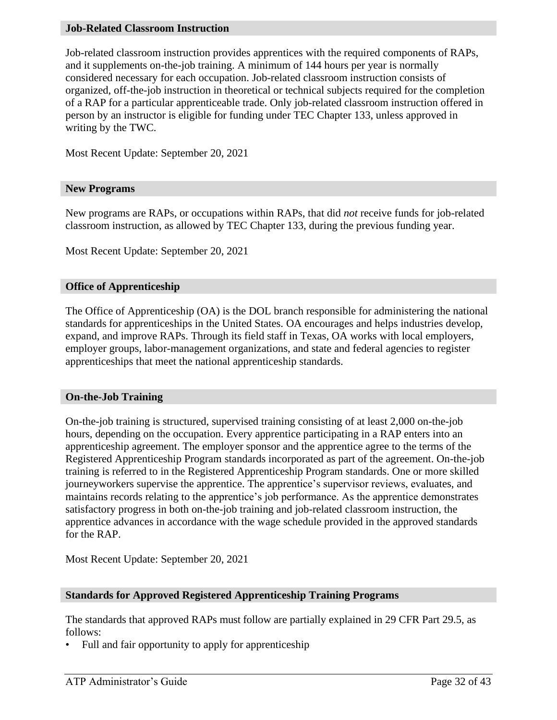#### **Job-Related Classroom Instruction**

Job-related classroom instruction provides apprentices with the required components of RAPs, and it supplements on-the-job training. A minimum of 144 hours per year is normally considered necessary for each occupation. Job-related classroom instruction consists of organized, off-the-job instruction in theoretical or technical subjects required for the completion of a RAP for a particular apprenticeable trade. Only job-related classroom instruction offered in person by an instructor is eligible for funding under TEC Chapter 133, unless approved in writing by the TWC.

Most Recent Update: September 20, 2021

#### **New Programs**

New programs are RAPs, or occupations within RAPs, that did *not* receive funds for job-related classroom instruction, as allowed by TEC Chapter 133, during the previous funding year.

Most Recent Update: September 20, 2021

#### **Office of Apprenticeship**

The Office of Apprenticeship (OA) is the DOL branch responsible for administering the national standards for apprenticeships in the United States. OA encourages and helps industries develop, expand, and improve RAPs. Through its field staff in Texas, OA works with local employers, employer groups, labor-management organizations, and state and federal agencies to register apprenticeships that meet the national apprenticeship standards.

#### **On-the-Job Training**

On-the-job training is structured, supervised training consisting of at least 2,000 on-the-job hours, depending on the occupation. Every apprentice participating in a RAP enters into an apprenticeship agreement. The employer sponsor and the apprentice agree to the terms of the Registered Apprenticeship Program standards incorporated as part of the agreement. On-the-job training is referred to in the Registered Apprenticeship Program standards. One or more skilled journeyworkers supervise the apprentice. The apprentice's supervisor reviews, evaluates, and maintains records relating to the apprentice's job performance. As the apprentice demonstrates satisfactory progress in both on-the-job training and job-related classroom instruction, the apprentice advances in accordance with the wage schedule provided in the approved standards for the RAP.

Most Recent Update: September 20, 2021

#### **Standards for Approved Registered Apprenticeship Training Programs**

The standards that approved RAPs must follow are partially explained in 29 CFR Part 29.5, as follows:

• Full and fair opportunity to apply for apprenticeship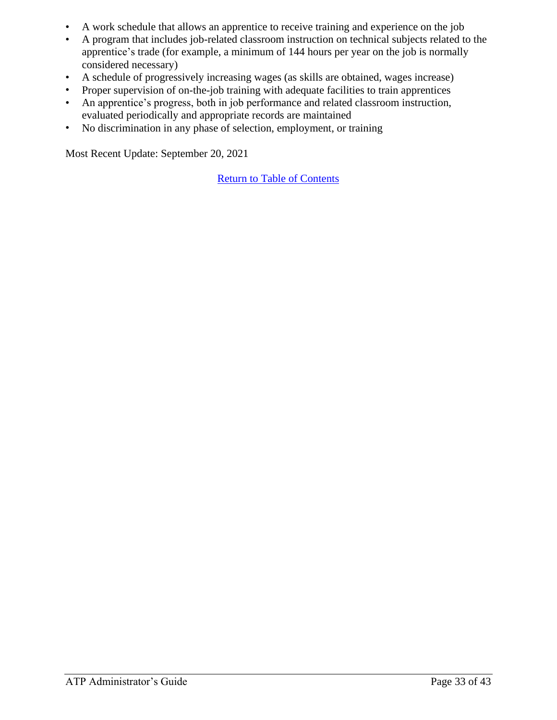- A work schedule that allows an apprentice to receive training and experience on the job
- A program that includes job-related classroom instruction on technical subjects related to the apprentice's trade (for example, a minimum of 144 hours per year on the job is normally considered necessary)
- A schedule of progressively increasing wages (as skills are obtained, wages increase)
- Proper supervision of on-the-job training with adequate facilities to train apprentices
- An apprentice's progress, both in job performance and related classroom instruction, evaluated periodically and appropriate records are maintained
- No discrimination in any phase of selection, employment, or training

Most Recent Update: September 20, 2021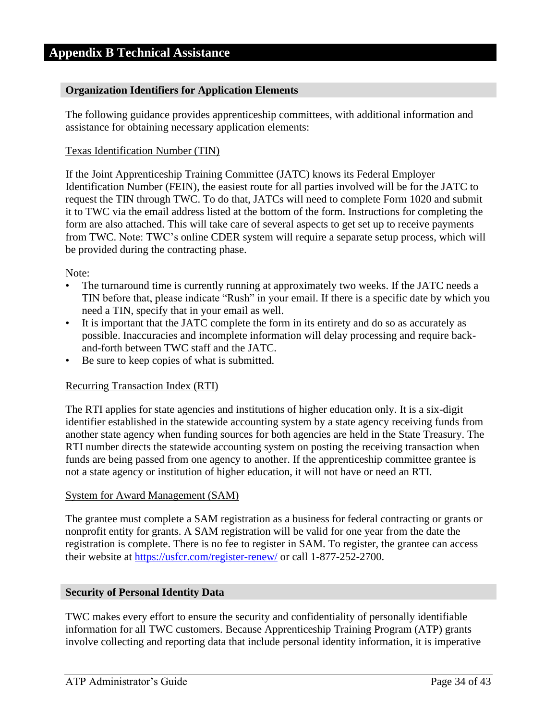#### <span id="page-33-0"></span>**Organization Identifiers for Application Elements**

The following guidance provides apprenticeship committees, with additional information and assistance for obtaining necessary application elements:

#### Texas Identification Number (TIN)

If the Joint Apprenticeship Training Committee (JATC) knows its Federal Employer Identification Number (FEIN), the easiest route for all parties involved will be for the JATC to request the TIN through TWC. To do that, JATCs will need to complete Form 1020 and submit it to TWC via the email address listed at the bottom of the form. Instructions for completing the form are also attached. This will take care of several aspects to get set up to receive payments from TWC. Note: TWC's online CDER system will require a separate setup process, which will be provided during the contracting phase.

#### Note:

- The turnaround time is currently running at approximately two weeks. If the JATC needs a TIN before that, please indicate "Rush" in your email. If there is a specific date by which you need a TIN, specify that in your email as well.
- It is important that the JATC complete the form in its entirety and do so as accurately as possible. Inaccuracies and incomplete information will delay processing and require backand-forth between TWC staff and the JATC.
- Be sure to keep copies of what is submitted.

#### Recurring Transaction Index (RTI)

The RTI applies for state agencies and institutions of higher education only. It is a six-digit identifier established in the statewide accounting system by a state agency receiving funds from another state agency when funding sources for both agencies are held in the State Treasury. The RTI number directs the statewide accounting system on posting the receiving transaction when funds are being passed from one agency to another. If the apprenticeship committee grantee is not a state agency or institution of higher education, it will not have or need an RTI.

#### System for Award Management (SAM)

The grantee must complete a SAM registration as a business for federal contracting or grants or nonprofit entity for grants. A SAM registration will be valid for one year from the date the registration is complete. There is no fee to register in SAM. To register, the grantee can access their website at <https://usfcr.com/register-renew/> or call 1-877-252-2700.

#### **Security of Personal Identity Data**

TWC makes every effort to ensure the security and confidentiality of personally identifiable information for all TWC customers. Because Apprenticeship Training Program (ATP) grants involve collecting and reporting data that include personal identity information, it is imperative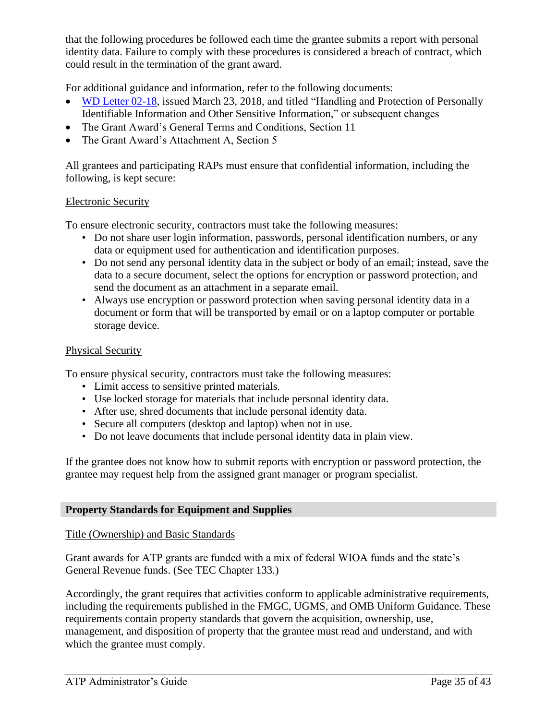that the following procedures be followed each time the grantee submits a report with personal identity data. Failure to comply with these procedures is considered a breach of contract, which could result in the termination of the grant award.

For additional guidance and information, refer to the following documents:

- [WD Letter 02-18,](https://twc.texas.gov/files/policy_letters/wd-02-18-twc.pdf) issued March 23, 2018, and titled "Handling and Protection of Personally Identifiable Information and Other Sensitive Information," or subsequent changes
- The Grant Award's General Terms and Conditions, Section 11
- The Grant Award's Attachment A, Section 5

All grantees and participating RAPs must ensure that confidential information, including the following, is kept secure:

#### Electronic Security

To ensure electronic security, contractors must take the following measures:

- Do not share user login information, passwords, personal identification numbers, or any data or equipment used for authentication and identification purposes.
- Do not send any personal identity data in the subject or body of an email; instead, save the data to a secure document, select the options for encryption or password protection, and send the document as an attachment in a separate email.
- Always use encryption or password protection when saving personal identity data in a document or form that will be transported by email or on a laptop computer or portable storage device.

#### Physical Security

To ensure physical security, contractors must take the following measures:

- Limit access to sensitive printed materials.
- Use locked storage for materials that include personal identity data.
- After use, shred documents that include personal identity data.
- Secure all computers (desktop and laptop) when not in use.
- Do not leave documents that include personal identity data in plain view.

If the grantee does not know how to submit reports with encryption or password protection, the grantee may request help from the assigned grant manager or program specialist.

#### **Property Standards for Equipment and Supplies**

#### Title (Ownership) and Basic Standards

Grant awards for ATP grants are funded with a mix of federal WIOA funds and the state's General Revenue funds. (See TEC Chapter 133.)

Accordingly, the grant requires that activities conform to applicable administrative requirements, including the requirements published in the FMGC, UGMS, and OMB Uniform Guidance. These requirements contain property standards that govern the acquisition, ownership, use, management, and disposition of property that the grantee must read and understand, and with which the grantee must comply.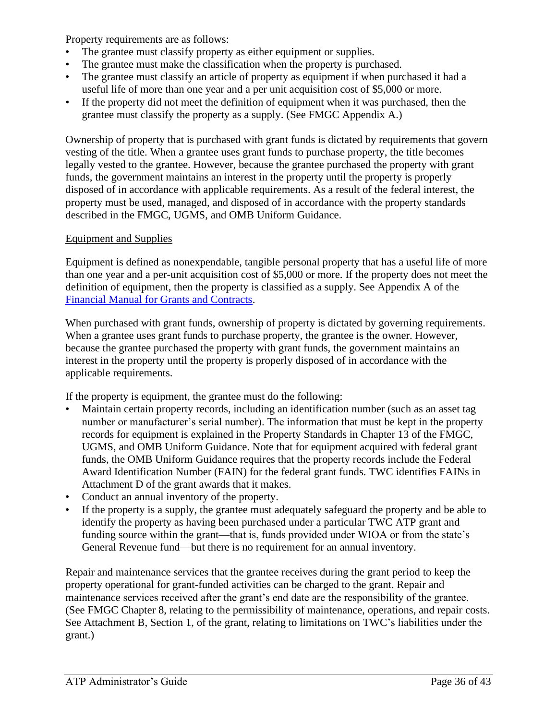Property requirements are as follows:

- The grantee must classify property as either equipment or supplies.
- The grantee must make the classification when the property is purchased.
- The grantee must classify an article of property as equipment if when purchased it had a useful life of more than one year and a per unit acquisition cost of \$5,000 or more.
- If the property did not meet the definition of equipment when it was purchased, then the grantee must classify the property as a supply. (See FMGC Appendix A.)

Ownership of property that is purchased with grant funds is dictated by requirements that govern vesting of the title. When a grantee uses grant funds to purchase property, the title becomes legally vested to the grantee. However, because the grantee purchased the property with grant funds, the government maintains an interest in the property until the property is properly disposed of in accordance with applicable requirements. As a result of the federal interest, the property must be used, managed, and disposed of in accordance with the property standards described in the FMGC, UGMS, and OMB Uniform Guidance.

#### Equipment and Supplies

Equipment is defined as nonexpendable, tangible personal property that has a useful life of more than one year and a per-unit acquisition cost of \$5,000 or more. If the property does not meet the definition of equipment, then the property is classified as a supply. See Appendix A of the [Financial Manual for Grants and Contracts.](https://twc.texas.gov/partners/financial-manual-grants-contracts)

When purchased with grant funds, ownership of property is dictated by governing requirements. When a grantee uses grant funds to purchase property, the grantee is the owner. However, because the grantee purchased the property with grant funds, the government maintains an interest in the property until the property is properly disposed of in accordance with the applicable requirements.

If the property is equipment, the grantee must do the following:

- Maintain certain property records, including an identification number (such as an asset tag number or manufacturer's serial number). The information that must be kept in the property records for equipment is explained in the Property Standards in Chapter 13 of the FMGC, UGMS, and OMB Uniform Guidance. Note that for equipment acquired with federal grant funds, the OMB Uniform Guidance requires that the property records include the Federal Award Identification Number (FAIN) for the federal grant funds. TWC identifies FAINs in Attachment D of the grant awards that it makes.
- Conduct an annual inventory of the property.
- If the property is a supply, the grantee must adequately safeguard the property and be able to identify the property as having been purchased under a particular TWC ATP grant and funding source within the grant—that is, funds provided under WIOA or from the state's General Revenue fund—but there is no requirement for an annual inventory.

Repair and maintenance services that the grantee receives during the grant period to keep the property operational for grant-funded activities can be charged to the grant. Repair and maintenance services received after the grant's end date are the responsibility of the grantee. (See FMGC Chapter 8, relating to the permissibility of maintenance, operations, and repair costs. See Attachment B, Section 1, of the grant, relating to limitations on TWC's liabilities under the grant.)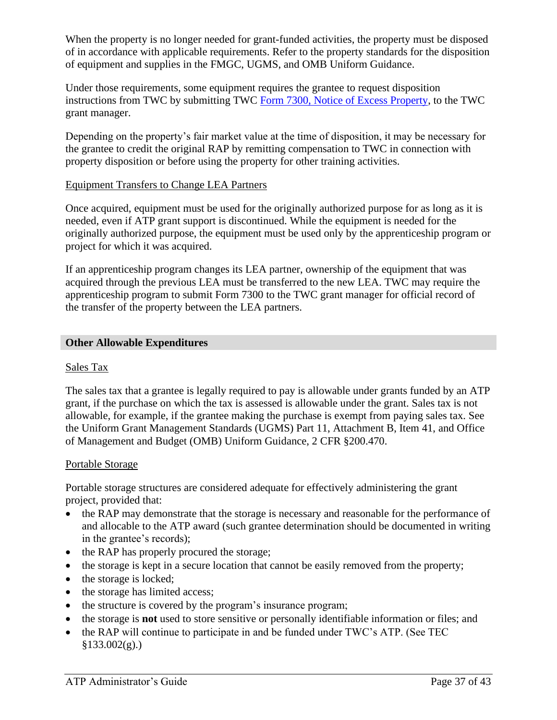When the property is no longer needed for grant-funded activities, the property must be disposed of in accordance with applicable requirements. Refer to the property standards for the disposition of equipment and supplies in the FMGC, UGMS, and OMB Uniform Guidance.

Under those requirements, some equipment requires the grantee to request disposition instructions from TWC by submitting TWC [Form 7300, Notice of Excess Property,](https://twc.texas.gov/files/partners/notification-excess-property-form-7300-accessible-twc.doc) to the TWC grant manager.

Depending on the property's fair market value at the time of disposition, it may be necessary for the grantee to credit the original RAP by remitting compensation to TWC in connection with property disposition or before using the property for other training activities.

#### Equipment Transfers to Change LEA Partners

Once acquired, equipment must be used for the originally authorized purpose for as long as it is needed, even if ATP grant support is discontinued. While the equipment is needed for the originally authorized purpose, the equipment must be used only by the apprenticeship program or project for which it was acquired.

If an apprenticeship program changes its LEA partner, ownership of the equipment that was acquired through the previous LEA must be transferred to the new LEA. TWC may require the apprenticeship program to submit Form 7300 to the TWC grant manager for official record of the transfer of the property between the LEA partners.

#### **Other Allowable Expenditures**

#### Sales Tax

The sales tax that a grantee is legally required to pay is allowable under grants funded by an ATP grant, if the purchase on which the tax is assessed is allowable under the grant. Sales tax is not allowable, for example, if the grantee making the purchase is exempt from paying sales tax. See the Uniform Grant Management Standards (UGMS) Part 11, Attachment B, Item 41, and Office of Management and Budget (OMB) Uniform Guidance, 2 CFR §200.470.

#### Portable Storage

Portable storage structures are considered adequate for effectively administering the grant project, provided that:

- the RAP may demonstrate that the storage is necessary and reasonable for the performance of and allocable to the ATP award (such grantee determination should be documented in writing in the grantee's records);
- the RAP has properly procured the storage;
- the storage is kept in a secure location that cannot be easily removed from the property;
- the storage is locked;
- the storage has limited access;
- the structure is covered by the program's insurance program;
- the storage is **not** used to store sensitive or personally identifiable information or files; and
- the RAP will continue to participate in and be funded under TWC's ATP. (See TEC  $§133.002(g).)$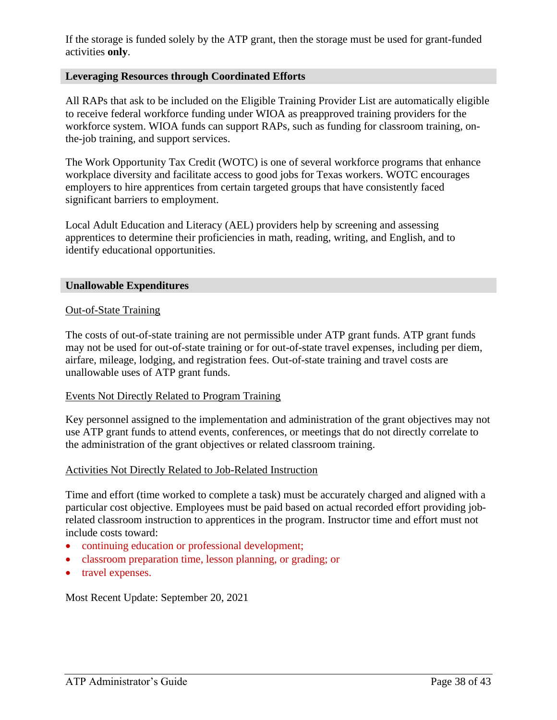If the storage is funded solely by the ATP grant, then the storage must be used for grant-funded activities **only**.

#### **Leveraging Resources through Coordinated Efforts**

All RAPs that ask to be included on the Eligible Training Provider List are automatically eligible to receive federal workforce funding under WIOA as preapproved training providers for the workforce system. WIOA funds can support RAPs, such as funding for classroom training, onthe-job training, and support services.

The Work Opportunity Tax Credit (WOTC) is one of several workforce programs that enhance workplace diversity and facilitate access to good jobs for Texas workers. WOTC encourages employers to hire apprentices from certain targeted groups that have consistently faced significant barriers to employment.

Local Adult Education and Literacy (AEL) providers help by screening and assessing apprentices to determine their proficiencies in math, reading, writing, and English, and to identify educational opportunities.

#### **Unallowable Expenditures**

#### Out-of-State Training

The costs of out-of-state training are not permissible under ATP grant funds. ATP grant funds may not be used for out-of-state training or for out-of-state travel expenses, including per diem, airfare, mileage, lodging, and registration fees. Out-of-state training and travel costs are unallowable uses of ATP grant funds.

#### Events Not Directly Related to Program Training

Key personnel assigned to the implementation and administration of the grant objectives may not use ATP grant funds to attend events, conferences, or meetings that do not directly correlate to the administration of the grant objectives or related classroom training.

#### Activities Not Directly Related to Job-Related Instruction

Time and effort (time worked to complete a task) must be accurately charged and aligned with a particular cost objective. Employees must be paid based on actual recorded effort providing jobrelated classroom instruction to apprentices in the program. Instructor time and effort must not include costs toward:

- continuing education or professional development;
- classroom preparation time, lesson planning, or grading; or
- travel expenses.

Most Recent Update: September 20, 2021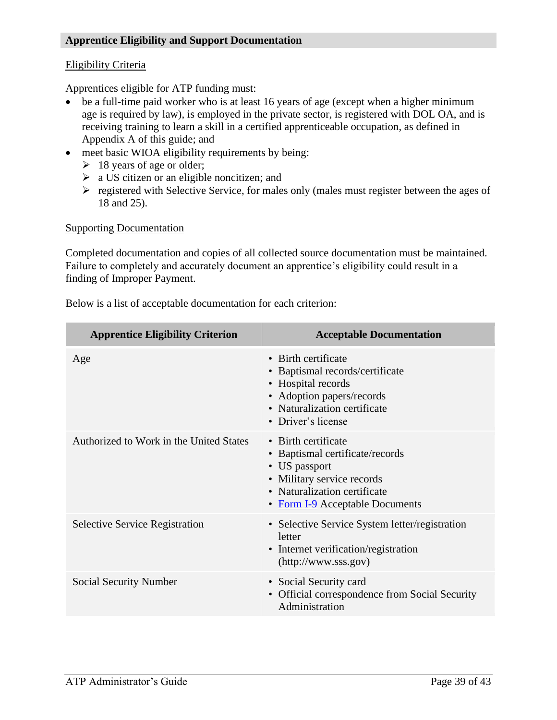#### **Apprentice Eligibility and Support Documentation**

#### Eligibility Criteria

Apprentices eligible for ATP funding must:

- be a full-time paid worker who is at least 16 years of age (except when a higher minimum age is required by law), is employed in the private sector, is registered with DOL OA, and is receiving training to learn a skill in a certified apprenticeable occupation, as defined in Appendix A of this guide; and
- meet basic WIOA eligibility requirements by being:
	- $\geq 18$  years of age or older;
	- $\triangleright$  a US citizen or an eligible noncitizen; and
	- ➢ registered with Selective Service, for males only (males must register between the ages of 18 and 25).

#### Supporting Documentation

Completed documentation and copies of all collected source documentation must be maintained. Failure to completely and accurately document an apprentice's eligibility could result in a finding of Improper Payment.

| <b>Apprentice Eligibility Criterion</b> | <b>Acceptable Documentation</b>                                                                                                                                          |
|-----------------------------------------|--------------------------------------------------------------------------------------------------------------------------------------------------------------------------|
| Age                                     | • Birth certificate<br>• Baptismal records/certificate<br>• Hospital records<br>• Adoption papers/records<br>• Naturalization certificate<br>• Driver's license          |
| Authorized to Work in the United States | • Birth certificate<br>• Baptismal certificate/records<br>• US passport<br>• Military service records<br>• Naturalization certificate<br>• Form I-9 Acceptable Documents |
| <b>Selective Service Registration</b>   | • Selective Service System letter/registration<br>letter<br>• Internet verification/registration<br>(http://www.sss.gov)                                                 |
| Social Security Number                  | • Social Security card<br>• Official correspondence from Social Security<br>Administration                                                                               |

Below is a list of acceptable documentation for each criterion: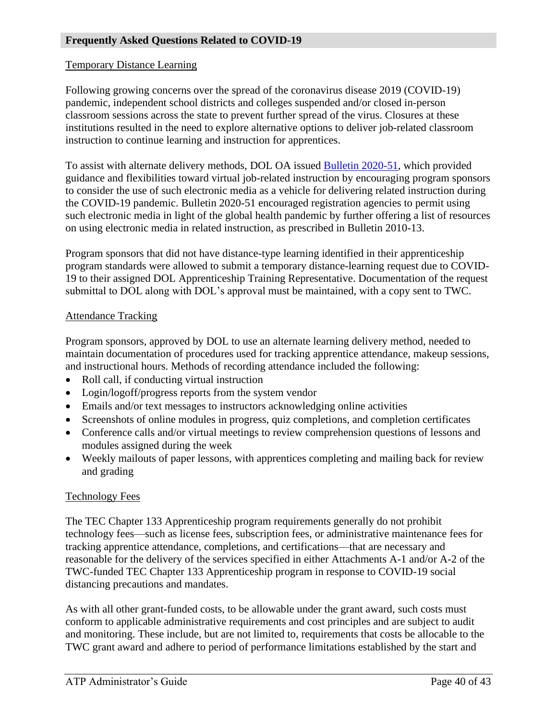#### Temporary Distance Learning

Following growing concerns over the spread of the coronavirus disease 2019 (COVID-19) pandemic, independent school districts and colleges suspended and/or closed in-person classroom sessions across the state to prevent further spread of the virus. Closures at these institutions resulted in the need to explore alternative options to deliver job-related classroom instruction to continue learning and instruction for apprentices.

To assist with alternate delivery methods, DOL OA issued [Bulletin 2020-51,](https://www.doleta.gov/oa/bul20/Bulletin%202020-51%20Flexibilities%20Available%20for%20the%20Delivery%20Method%20of%20Related%20Instruction.docx) which provided guidance and flexibilities toward virtual job-related instruction by encouraging program sponsors to consider the use of such electronic media as a vehicle for delivering related instruction during the COVID-19 pandemic. Bulletin 2020-51 encouraged registration agencies to permit using such electronic media in light of the global health pandemic by further offering a list of resources on using electronic media in related instruction, as prescribed in Bulletin 2010-13.

Program sponsors that did not have distance-type learning identified in their apprenticeship program standards were allowed to submit a temporary distance-learning request due to COVID-19 to their assigned DOL Apprenticeship Training Representative. Documentation of the request submittal to DOL along with DOL's approval must be maintained, with a copy sent to TWC.

#### Attendance Tracking

Program sponsors, approved by DOL to use an alternate learning delivery method, needed to maintain documentation of procedures used for tracking apprentice attendance, makeup sessions, and instructional hours. Methods of recording attendance included the following:

- Roll call, if conducting virtual instruction
- Login/logoff/progress reports from the system vendor
- Emails and/or text messages to instructors acknowledging online activities
- Screenshots of online modules in progress, quiz completions, and completion certificates
- Conference calls and/or virtual meetings to review comprehension questions of lessons and modules assigned during the week
- Weekly mailouts of paper lessons, with apprentices completing and mailing back for review and grading

#### Technology Fees

The TEC Chapter 133 Apprenticeship program requirements generally do not prohibit technology fees—such as license fees, subscription fees, or administrative maintenance fees for tracking apprentice attendance, completions, and certifications—that are necessary and reasonable for the delivery of the services specified in either Attachments A-1 and/or A-2 of the TWC-funded TEC Chapter 133 Apprenticeship program in response to COVID-19 social distancing precautions and mandates.

As with all other grant-funded costs, to be allowable under the grant award, such costs must conform to applicable administrative requirements and cost principles and are subject to audit and monitoring. These include, but are not limited to, requirements that costs be allocable to the TWC grant award and adhere to period of performance limitations established by the start and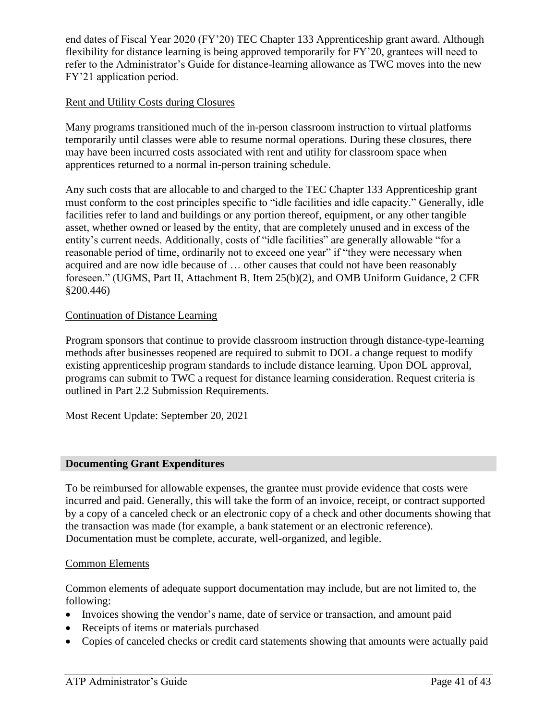end dates of Fiscal Year 2020 (FY'20) TEC Chapter 133 Apprenticeship grant award. Although flexibility for distance learning is being approved temporarily for FY'20, grantees will need to refer to the Administrator's Guide for distance-learning allowance as TWC moves into the new FY'21 application period.

#### Rent and Utility Costs during Closures

Many programs transitioned much of the in-person classroom instruction to virtual platforms temporarily until classes were able to resume normal operations. During these closures, there may have been incurred costs associated with rent and utility for classroom space when apprentices returned to a normal in-person training schedule.

Any such costs that are allocable to and charged to the TEC Chapter 133 Apprenticeship grant must conform to the cost principles specific to "idle facilities and idle capacity." Generally, idle facilities refer to land and buildings or any portion thereof, equipment, or any other tangible asset, whether owned or leased by the entity, that are completely unused and in excess of the entity's current needs. Additionally, costs of "idle facilities" are generally allowable "for a reasonable period of time, ordinarily not to exceed one year" if "they were necessary when acquired and are now idle because of … other causes that could not have been reasonably foreseen." (UGMS, Part II, Attachment B, Item 25(b)(2), and OMB Uniform Guidance, 2 CFR §200.446)

#### Continuation of Distance Learning

Program sponsors that continue to provide classroom instruction through distance-type-learning methods after businesses reopened are required to submit to DOL a change request to modify existing apprenticeship program standards to include distance learning. Upon DOL approval, programs can submit to TWC a request for distance learning consideration. Request criteria is outlined in Part 2.2 Submission Requirements.

Most Recent Update: September 20, 2021

#### **Documenting Grant Expenditures**

To be reimbursed for allowable expenses, the grantee must provide evidence that costs were incurred and paid. Generally, this will take the form of an invoice, receipt, or contract supported by a copy of a canceled check or an electronic copy of a check and other documents showing that the transaction was made (for example, a bank statement or an electronic reference). Documentation must be complete, accurate, well-organized, and legible.

#### Common Elements

Common elements of adequate support documentation may include, but are not limited to, the following:

- Invoices showing the vendor's name, date of service or transaction, and amount paid
- Receipts of items or materials purchased
- Copies of canceled checks or credit card statements showing that amounts were actually paid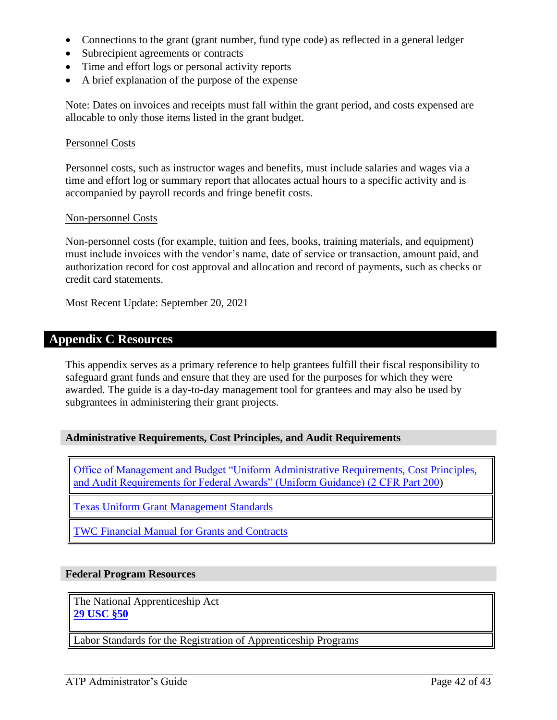- Connections to the grant (grant number, fund type code) as reflected in a general ledger
- Subrecipient agreements or contracts
- Time and effort logs or personal activity reports
- A brief explanation of the purpose of the expense

Note: Dates on invoices and receipts must fall within the grant period, and costs expensed are allocable to only those items listed in the grant budget.

#### Personnel Costs

Personnel costs, such as instructor wages and benefits, must include salaries and wages via a time and effort log or summary report that allocates actual hours to a specific activity and is accompanied by payroll records and fringe benefit costs.

#### Non-personnel Costs

Non-personnel costs (for example, tuition and fees, books, training materials, and equipment) must include invoices with the vendor's name, date of service or transaction, amount paid, and authorization record for cost approval and allocation and record of payments, such as checks or credit card statements.

<span id="page-41-0"></span>Most Recent Update: September 20, 2021

## **Appendix C Resources**

This appendix serves as a primary reference to help grantees fulfill their fiscal responsibility to safeguard grant funds and ensure that they are used for the purposes for which they were awarded. The guide is a day-to-day management tool for grantees and may also be used by subgrantees in administering their grant projects.

#### **Administrative Requirements, Cost Principles, and Audit Requirements**

Office of Management and Budget "Uniform [Administrative Requirements, Cost Principles,](https://www.ecfr.gov/cgi-bin/text-idx?SID=cf1f1fd08ed8c4795c6c211c222dcf44&mc=true&tpl=/ecfrbrowse/Title02/2cfrv1_02.tpl#200)  [and Audit Requirements for Federal Awards" \(Uniform Guidance\) \(2 CFR Part 200\)](https://www.ecfr.gov/cgi-bin/text-idx?SID=cf1f1fd08ed8c4795c6c211c222dcf44&mc=true&tpl=/ecfrbrowse/Title02/2cfrv1_02.tpl#200)

[Texas Uniform Grant Management Standards](https://comptroller.texas.gov/purchasing/docs/ugms.pdf)

[TWC Financial Manual for Grants and Contracts](https://www.twc.texas.gov/files/partners/financial-manual-for-grants-and-contracts-twc.doc)

#### **Federal Program Resources**

The National Apprenticeship Act **[29 USC §50](https://www.gpo.gov/fdsys/search/pagedetails.action?collectionCode=USCODE&searchPath=Title+1&granuleId=USCODE-2010-title29-chap4C-sec50&packageId=USCODE-2010-title29&oldPath=Title+1&fromPageDetails=true&collapse=false&ycord=614)**

Labor Standards for the Registration of Apprenticeship Programs